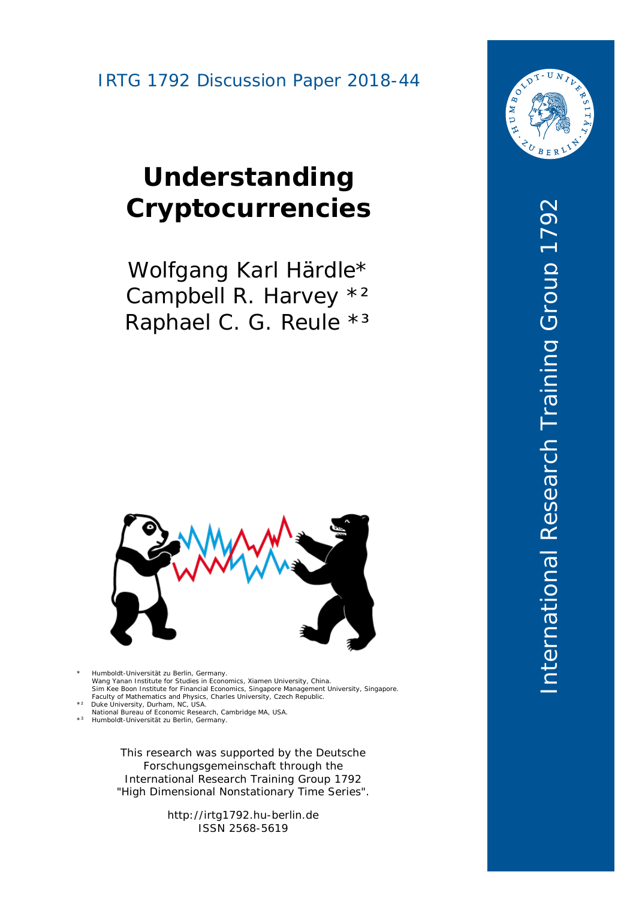# **Understanding Cryptocurrencies**

Wolfgang Karl Härdle\* Campbell R. Harvey \*2 Raphael C. G. Reule \*3



\* Humboldt-Universität zu Berlin, Germany.<br>Wang Yanan Institute for Studies in Economics, Xiamen University, China.<br>Sim Kee Boon Institute for Financial Economics, Singapore Management University, Singapore.<br>Faculty of Mat \*² Duke University, Durham, NC, USA.

National Bureau of Economic Research, Cambridge MA, USA. 3 Humbold t-Universität zu Berlin, Germany.  $*3$ 

> This research was supported by the Deutsche Forschungsgemeinschaft through the International Research Training Group 1792 "High Dimensional Nonstationary Time Series" .

> > http://irtg1792.hu -berlin.de ISSN 2568-5619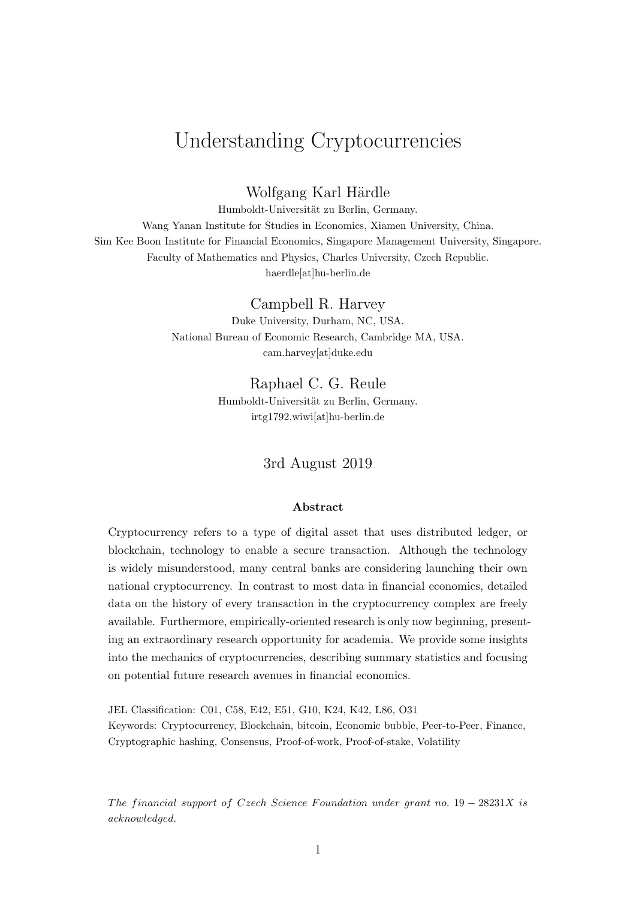# Understanding Cryptocurrencies

Wolfgang Karl Härdle

Humboldt-Universität zu Berlin, Germany. Wang Yanan Institute for Studies in Economics, Xiamen University, China. Sim Kee Boon Institute for Financial Economics, Singapore Management University, Singapore. Faculty of Mathematics and Physics, Charles University, Czech Republic. haerdle[at]hu-berlin.de

Campbell R. Harvey

Duke University, Durham, NC, USA. National Bureau of Economic Research, Cambridge MA, USA. cam.harvey[at]duke.edu

> Raphael C. G. Reule Humboldt-Universität zu Berlin, Germany. irtg1792.wiwi[at]hu-berlin.de

> > 3rd August 2019

#### Abstract

Cryptocurrency refers to a type of digital asset that uses distributed ledger, or blockchain, technology to enable a secure transaction. Although the technology is widely misunderstood, many central banks are considering launching their own national cryptocurrency. In contrast to most data in financial economics, detailed data on the history of every transaction in the cryptocurrency complex are freely available. Furthermore, empirically-oriented research is only now beginning, presenting an extraordinary research opportunity for academia. We provide some insights into the mechanics of cryptocurrencies, describing summary statistics and focusing on potential future research avenues in financial economics.

JEL Classification: C01, C58, E42, E51, G10, K24, K42, L86, O31 Keywords: Cryptocurrency, Blockchain, bitcoin, Economic bubble, Peer-to-Peer, Finance, Cryptographic hashing, Consensus, Proof-of-work, Proof-of-stake, Volatility

The financial support of Czech Science Foundation under grant no.  $19 - 28231X$  is acknowledged.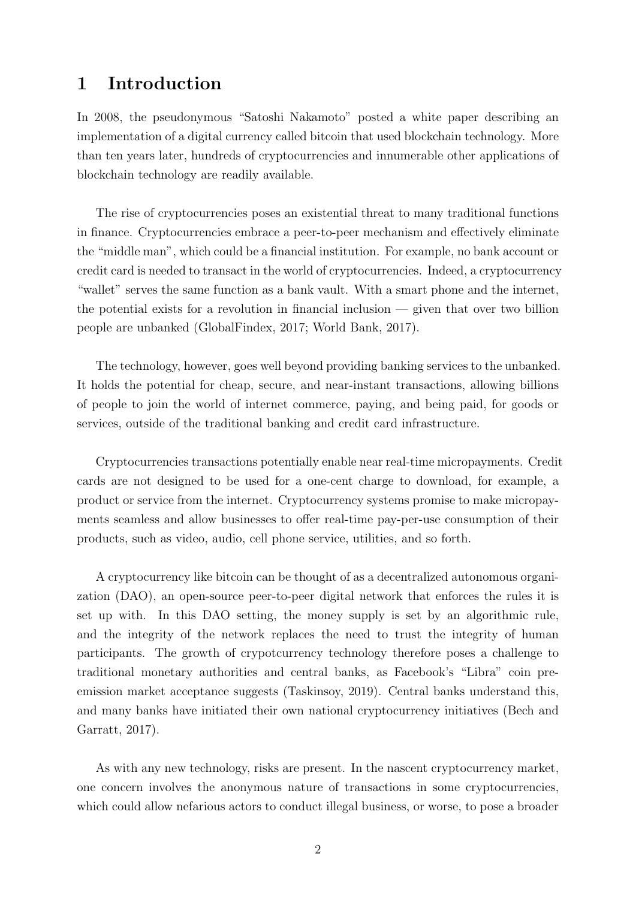### 1 Introduction

In 2008, the pseudonymous "Satoshi Nakamoto" posted a white paper describing an implementation of a digital currency called bitcoin that used blockchain technology. More than ten years later, hundreds of cryptocurrencies and innumerable other applications of blockchain technology are readily available.

The rise of cryptocurrencies poses an existential threat to many traditional functions in finance. Cryptocurrencies embrace a peer-to-peer mechanism and effectively eliminate the "middle man", which could be a financial institution. For example, no bank account or credit card is needed to transact in the world of cryptocurrencies. Indeed, a cryptocurrency "wallet" serves the same function as a bank vault. With a smart phone and the internet, the potential exists for a revolution in financial inclusion  $-$  given that over two billion people are unbanked (GlobalFindex, 2017; World Bank, 2017).

The technology, however, goes well beyond providing banking services to the unbanked. It holds the potential for cheap, secure, and near-instant transactions, allowing billions of people to join the world of internet commerce, paying, and being paid, for goods or services, outside of the traditional banking and credit card infrastructure.

Cryptocurrencies transactions potentially enable near real-time micropayments. Credit cards are not designed to be used for a one-cent charge to download, for example, a product or service from the internet. Cryptocurrency systems promise to make micropayments seamless and allow businesses to offer real-time pay-per-use consumption of their products, such as video, audio, cell phone service, utilities, and so forth.

A cryptocurrency like bitcoin can be thought of as a decentralized autonomous organization (DAO), an open-source peer-to-peer digital network that enforces the rules it is set up with. In this DAO setting, the money supply is set by an algorithmic rule, and the integrity of the network replaces the need to trust the integrity of human participants. The growth of crypotcurrency technology therefore poses a challenge to traditional monetary authorities and central banks, as Facebook's "Libra" coin preemission market acceptance suggests (Taskinsoy, 2019). Central banks understand this, and many banks have initiated their own national cryptocurrency initiatives (Bech and Garratt, 2017).

As with any new technology, risks are present. In the nascent cryptocurrency market, one concern involves the anonymous nature of transactions in some cryptocurrencies, which could allow nefarious actors to conduct illegal business, or worse, to pose a broader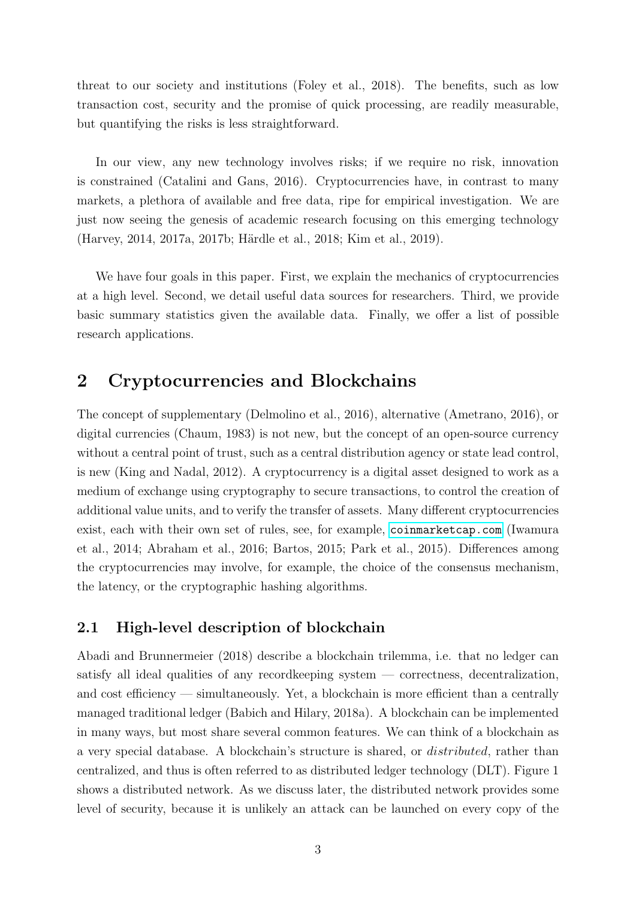threat to our society and institutions (Foley et al., 2018). The benefits, such as low transaction cost, security and the promise of quick processing, are readily measurable, but quantifying the risks is less straightforward.

In our view, any new technology involves risks; if we require no risk, innovation is constrained (Catalini and Gans, 2016). Cryptocurrencies have, in contrast to many markets, a plethora of available and free data, ripe for empirical investigation. We are just now seeing the genesis of academic research focusing on this emerging technology (Harvey, 2014, 2017a, 2017b; Härdle et al., 2018; Kim et al., 2019).

We have four goals in this paper. First, we explain the mechanics of cryptocurrencies at a high level. Second, we detail useful data sources for researchers. Third, we provide basic summary statistics given the available data. Finally, we offer a list of possible research applications.

### 2 Cryptocurrencies and Blockchains

The concept of supplementary (Delmolino et al., 2016), alternative (Ametrano, 2016), or digital currencies (Chaum, 1983) is not new, but the concept of an open-source currency without a central point of trust, such as a central distribution agency or state lead control, is new (King and Nadal, 2012). A cryptocurrency is a digital asset designed to work as a medium of exchange using cryptography to secure transactions, to control the creation of additional value units, and to verify the transfer of assets. Many different cryptocurrencies exist, each with their own set of rules, see, for example, <coinmarketcap.com> (Iwamura et al., 2014; Abraham et al., 2016; Bartos, 2015; Park et al., 2015). Differences among the cryptocurrencies may involve, for example, the choice of the consensus mechanism, the latency, or the cryptographic hashing algorithms.

#### 2.1 High-level description of blockchain

Abadi and Brunnermeier (2018) describe a blockchain trilemma, i.e. that no ledger can satisfy all ideal qualities of any recordkeeping system — correctness, decentralization, and cost efficiency — simultaneously. Yet, a blockchain is more efficient than a centrally managed traditional ledger (Babich and Hilary, 2018a). A blockchain can be implemented in many ways, but most share several common features. We can think of a blockchain as a very special database. A blockchain's structure is shared, or distributed, rather than centralized, and thus is often referred to as distributed ledger technology (DLT). Figure 1 shows a distributed network. As we discuss later, the distributed network provides some level of security, because it is unlikely an attack can be launched on every copy of the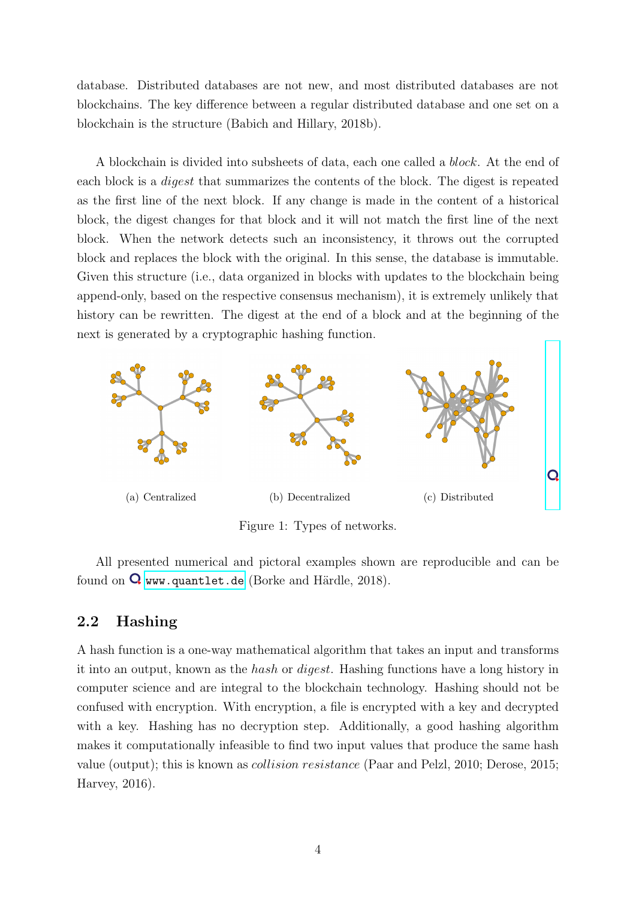database. Distributed databases are not new, and most distributed databases are not blockchains. The key difference between a regular distributed database and one set on a blockchain is the structure (Babich and Hillary, 2018b).

A blockchain is divided into subsheets of data, each one called a block. At the end of each block is a digest that summarizes the contents of the block. The digest is repeated as the first line of the next block. If any change is made in the content of a historical block, the digest changes for that block and it will not match the first line of the next block. When the network detects such an inconsistency, it throws out the corrupted block and replaces the block with the original. In this sense, the database is immutable. Given this structure (i.e., data organized in blocks with updates to the blockchain being append-only, based on the respective consensus mechanism), it is extremely unlikely that history can be rewritten. The digest at the end of a block and at the beginning of the next is generated by a cryptographic hashing function.



Figure 1: Types of networks.

All presented numerical and pictoral examples shown are reproducible and can be found on  $\Omega$  <www.quantlet.de> (Borke and Härdle, 2018).

#### 2.2 Hashing

A hash function is a one-way mathematical algorithm that takes an input and transforms it into an output, known as the hash or digest. Hashing functions have a long history in computer science and are integral to the blockchain technology. Hashing should not be confused with encryption. With encryption, a file is encrypted with a key and decrypted with a key. Hashing has no decryption step. Additionally, a good hashing algorithm makes it computationally infeasible to find two input values that produce the same hash value (output); this is known as collision resistance (Paar and Pelzl, 2010; Derose, 2015; Harvey, 2016).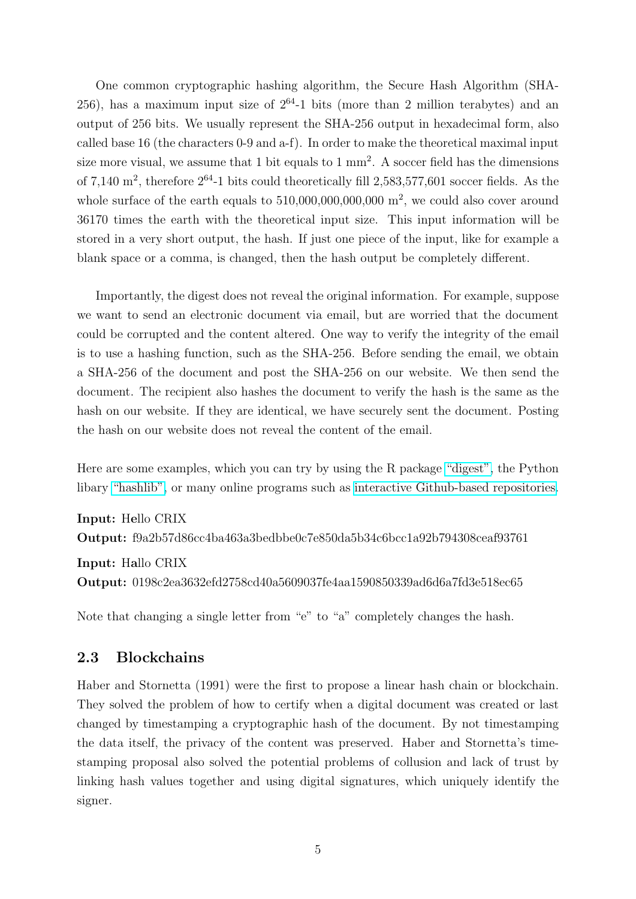One common cryptographic hashing algorithm, the Secure Hash Algorithm (SHA- $(256)$ , has a maximum input size of  $2^{64}$ -1 bits (more than 2 million terabytes) and an output of 256 bits. We usually represent the SHA-256 output in hexadecimal form, also called base 16 (the characters 0-9 and a-f). In order to make the theoretical maximal input size more visual, we assume that 1 bit equals to 1 mm<sup>2</sup>. A soccer field has the dimensions of 7,140  $\text{m}^2$ , therefore  $2^{64}$ -1 bits could theoretically fill 2,583,577,601 soccer fields. As the whole surface of the earth equals to  $510,000,000,000,000$  m<sup>2</sup>, we could also cover around 36170 times the earth with the theoretical input size. This input information will be stored in a very short output, the hash. If just one piece of the input, like for example a blank space or a comma, is changed, then the hash output be completely different.

Importantly, the digest does not reveal the original information. For example, suppose we want to send an electronic document via email, but are worried that the document could be corrupted and the content altered. One way to verify the integrity of the email is to use a hashing function, such as the SHA-256. Before sending the email, we obtain a SHA-256 of the document and post the SHA-256 on our website. We then send the document. The recipient also hashes the document to verify the hash is the same as the hash on our website. If they are identical, we have securely sent the document. Posting the hash on our website does not reveal the content of the email.

Here are some examples, which you can try by using the R package ["digest",](https://cran.r-project.org/web/packages/digest/digest.pdf) the Python libary ["hashlib",](https://docs.python.org/2/library/hashlib.html) or many online programs such as [interactive Github-based repositories.](http://emn178.github.io/online-tools/sha256.html)

Input: Hello CRIX Output: f9a2b57d86cc4ba463a3bedbbe0c7e850da5b34c6bcc1a92b794308ceaf93761

Input: Hallo CRIX Output: 0198c2ea3632efd2758cd40a5609037fe4aa1590850339ad6d6a7fd3e518ec65

Note that changing a single letter from "e" to "a" completely changes the hash.

#### 2.3 Blockchains

Haber and Stornetta (1991) were the first to propose a linear hash chain or blockchain. They solved the problem of how to certify when a digital document was created or last changed by timestamping a cryptographic hash of the document. By not timestamping the data itself, the privacy of the content was preserved. Haber and Stornetta's timestamping proposal also solved the potential problems of collusion and lack of trust by linking hash values together and using digital signatures, which uniquely identify the signer.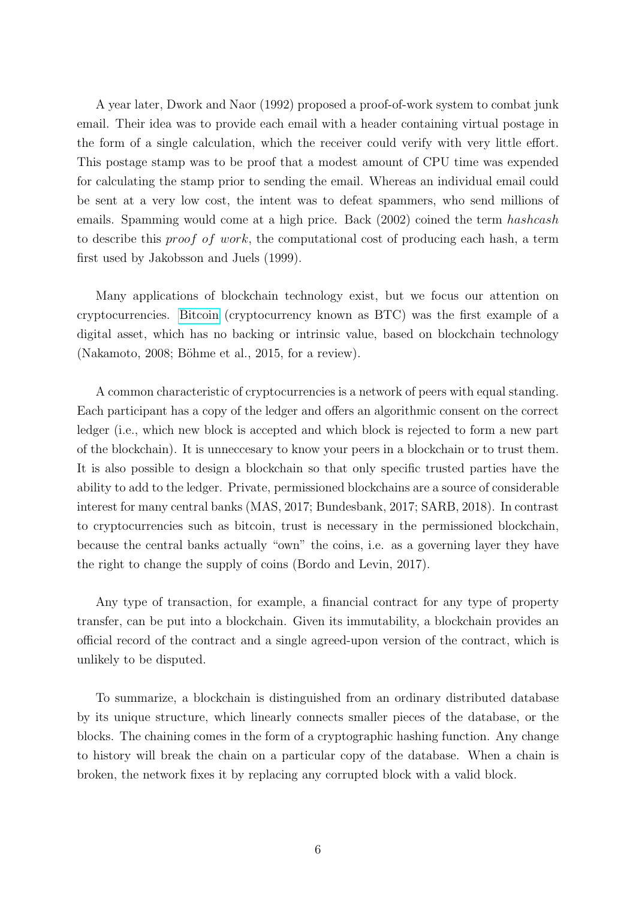A year later, Dwork and Naor (1992) proposed a proof-of-work system to combat junk email. Their idea was to provide each email with a header containing virtual postage in the form of a single calculation, which the receiver could verify with very little effort. This postage stamp was to be proof that a modest amount of CPU time was expended for calculating the stamp prior to sending the email. Whereas an individual email could be sent at a very low cost, the intent was to defeat spammers, who send millions of emails. Spamming would come at a high price. Back (2002) coined the term hashcash to describe this proof of work, the computational cost of producing each hash, a term first used by Jakobsson and Juels (1999).

Many applications of blockchain technology exist, but we focus our attention on cryptocurrencies. [Bitcoin](https://bitcoin.org/en/) (cryptocurrency known as BTC) was the first example of a digital asset, which has no backing or intrinsic value, based on blockchain technology  $(Nakamoto, 2008; Böhme et al., 2015, for a review).$ 

A common characteristic of cryptocurrencies is a network of peers with equal standing. Each participant has a copy of the ledger and offers an algorithmic consent on the correct ledger (i.e., which new block is accepted and which block is rejected to form a new part of the blockchain). It is unneccesary to know your peers in a blockchain or to trust them. It is also possible to design a blockchain so that only specific trusted parties have the ability to add to the ledger. Private, permissioned blockchains are a source of considerable interest for many central banks (MAS, 2017; Bundesbank, 2017; SARB, 2018). In contrast to cryptocurrencies such as bitcoin, trust is necessary in the permissioned blockchain, because the central banks actually "own" the coins, i.e. as a governing layer they have the right to change the supply of coins (Bordo and Levin, 2017).

Any type of transaction, for example, a financial contract for any type of property transfer, can be put into a blockchain. Given its immutability, a blockchain provides an official record of the contract and a single agreed-upon version of the contract, which is unlikely to be disputed.

To summarize, a blockchain is distinguished from an ordinary distributed database by its unique structure, which linearly connects smaller pieces of the database, or the blocks. The chaining comes in the form of a cryptographic hashing function. Any change to history will break the chain on a particular copy of the database. When a chain is broken, the network fixes it by replacing any corrupted block with a valid block.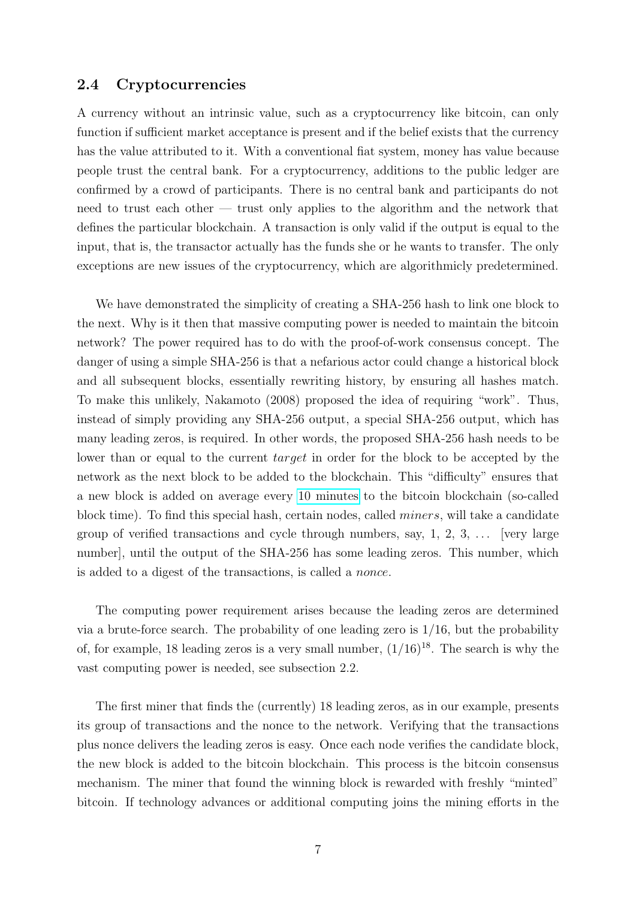#### 2.4 Cryptocurrencies

A currency without an intrinsic value, such as a cryptocurrency like bitcoin, can only function if sufficient market acceptance is present and if the belief exists that the currency has the value attributed to it. With a conventional fiat system, money has value because people trust the central bank. For a cryptocurrency, additions to the public ledger are confirmed by a crowd of participants. There is no central bank and participants do not need to trust each other — trust only applies to the algorithm and the network that defines the particular blockchain. A transaction is only valid if the output is equal to the input, that is, the transactor actually has the funds she or he wants to transfer. The only exceptions are new issues of the cryptocurrency, which are algorithmicly predetermined.

We have demonstrated the simplicity of creating a SHA-256 hash to link one block to the next. Why is it then that massive computing power is needed to maintain the bitcoin network? The power required has to do with the proof-of-work consensus concept. The danger of using a simple SHA-256 is that a nefarious actor could change a historical block and all subsequent blocks, essentially rewriting history, by ensuring all hashes match. To make this unlikely, Nakamoto (2008) proposed the idea of requiring "work". Thus, instead of simply providing any SHA-256 output, a special SHA-256 output, which has many leading zeros, is required. In other words, the proposed SHA-256 hash needs to be lower than or equal to the current *target* in order for the block to be accepted by the network as the next block to be added to the blockchain. This "difficulty" ensures that a new block is added on average every [10 minutes](https://bitinfocharts.com/comparison/bitcoin-confirmationtime.html) to the bitcoin blockchain (so-called block time). To find this special hash, certain nodes, called miners, will take a candidate group of verified transactions and cycle through numbers, say,  $1, 2, 3, \ldots$  [very large number], until the output of the SHA-256 has some leading zeros. This number, which is added to a digest of the transactions, is called a nonce.

The computing power requirement arises because the leading zeros are determined via a brute-force search. The probability of one leading zero is 1/16, but the probability of, for example, 18 leading zeros is a very small number,  $(1/16)^{18}$ . The search is why the vast computing power is needed, see subsection 2.2.

The first miner that finds the (currently) 18 leading zeros, as in our example, presents its group of transactions and the nonce to the network. Verifying that the transactions plus nonce delivers the leading zeros is easy. Once each node verifies the candidate block, the new block is added to the bitcoin blockchain. This process is the bitcoin consensus mechanism. The miner that found the winning block is rewarded with freshly "minted" bitcoin. If technology advances or additional computing joins the mining efforts in the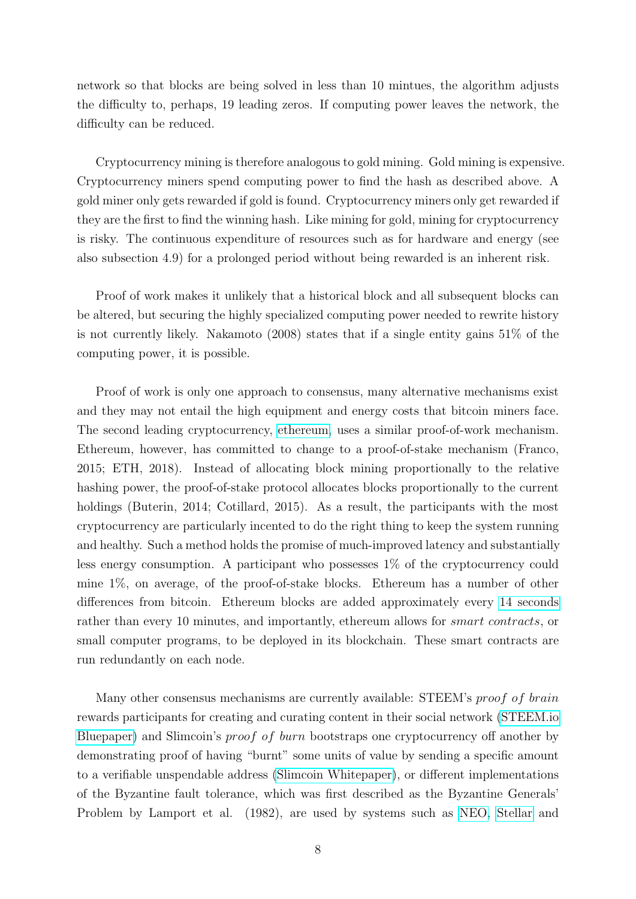network so that blocks are being solved in less than 10 mintues, the algorithm adjusts the difficulty to, perhaps, 19 leading zeros. If computing power leaves the network, the difficulty can be reduced.

Cryptocurrency mining is therefore analogous to gold mining. Gold mining is expensive. Cryptocurrency miners spend computing power to find the hash as described above. A gold miner only gets rewarded if gold is found. Cryptocurrency miners only get rewarded if they are the first to find the winning hash. Like mining for gold, mining for cryptocurrency is risky. The continuous expenditure of resources such as for hardware and energy (see also subsection 4.9) for a prolonged period without being rewarded is an inherent risk.

Proof of work makes it unlikely that a historical block and all subsequent blocks can be altered, but securing the highly specialized computing power needed to rewrite history is not currently likely. Nakamoto (2008) states that if a single entity gains 51% of the computing power, it is possible.

Proof of work is only one approach to consensus, many alternative mechanisms exist and they may not entail the high equipment and energy costs that bitcoin miners face. The second leading cryptocurrency, [ethereum,](https://www.ethereum.org/) uses a similar proof-of-work mechanism. Ethereum, however, has committed to change to a proof-of-stake mechanism (Franco, 2015; ETH, 2018). Instead of allocating block mining proportionally to the relative hashing power, the proof-of-stake protocol allocates blocks proportionally to the current holdings (Buterin, 2014; Cotillard, 2015). As a result, the participants with the most cryptocurrency are particularly incented to do the right thing to keep the system running and healthy. Such a method holds the promise of much-improved latency and substantially less energy consumption. A participant who possesses 1% of the cryptocurrency could mine 1%, on average, of the proof-of-stake blocks. Ethereum has a number of other differences from bitcoin. Ethereum blocks are added approximately every [14 seconds](https://etherscan.io/chart/blocktime) rather than every 10 minutes, and importantly, ethereum allows for *smart contracts*, or small computer programs, to be deployed in its blockchain. These smart contracts are run redundantly on each node.

Many other consensus mechanisms are currently available: STEEM's proof of brain rewards participants for creating and curating content in their social network [\(STEEM.io](https://steem.io/steem-bluepaper.pdf) [Bluepaper\)](https://steem.io/steem-bluepaper.pdf) and Slimcoin's proof of burn bootstraps one cryptocurrency off another by demonstrating proof of having "burnt" some units of value by sending a specific amount to a verifiable unspendable address [\(Slimcoin Whitepaper\)](https://github.com/slimcoin-project/slimcoin-project.github.io/raw/master/whitepaperSLM.pdf), or different implementations of the Byzantine fault tolerance, which was first described as the Byzantine Generals' Problem by Lamport et al. (1982), are used by systems such as [NEO,](https://neo.org) [Stellar](https://stellar.org) and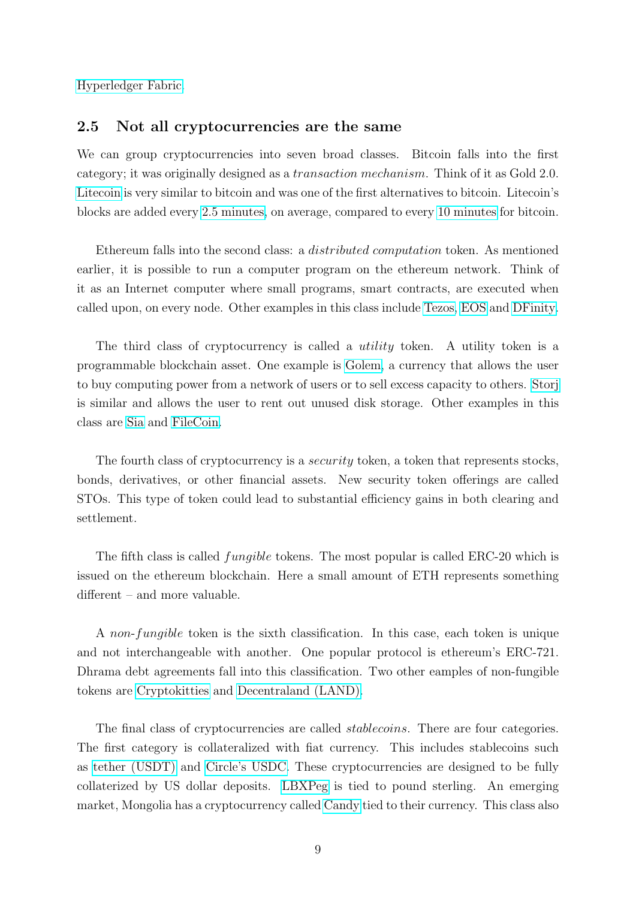[Hyperledger Fabric.](https://hyperledger-fabric.readthedocs.io/)

#### 2.5 Not all cryptocurrencies are the same

We can group cryptocurrencies into seven broad classes. Bitcoin falls into the first category; it was originally designed as a transaction mechanism. Think of it as Gold 2.0. [Litecoin](https://litecoin.org/) is very similar to bitcoin and was one of the first alternatives to bitcoin. Litecoin's blocks are added every [2.5 minutes,](https://bitinfocharts.com/comparison/litecoin-confirmationtime.html) on average, compared to every [10 minutes](https://bitinfocharts.com/comparison/bitcoin-confirmationtime.html) for bitcoin.

Ethereum falls into the second class: a distributed computation token. As mentioned earlier, it is possible to run a computer program on the ethereum network. Think of it as an Internet computer where small programs, smart contracts, are executed when called upon, on every node. Other examples in this class include [Tezos,](https://tezos.com/) [EOS](https://eos.io/) and [DFinity.](https://dfinity.org/)

The third class of cryptocurrency is called a *utility* token. A utility token is a programmable blockchain asset. One example is [Golem,](https://golem.network/) a currency that allows the user to buy computing power from a network of users or to sell excess capacity to others. [Storj](https://storj.io/) is similar and allows the user to rent out unused disk storage. Other examples in this class are [Sia](https://sia.tech/) and [FileCoin.](https://filecoin.io/)

The fourth class of cryptocurrency is a *security* token, a token that represents stocks, bonds, derivatives, or other financial assets. New security token offerings are called STOs. This type of token could lead to substantial efficiency gains in both clearing and settlement.

The fifth class is called fungible tokens. The most popular is called ERC-20 which is issued on the ethereum blockchain. Here a small amount of ETH represents something different – and more valuable.

A non-fungible token is the sixth classification. In this case, each token is unique and not interchangeable with another. One popular protocol is ethereum's ERC-721. Dhrama debt agreements fall into this classification. Two other eamples of non-fungible tokens are [Cryptokitties](https://www.cryptokitties.co/) and [Decentraland \(LAND\).](https://decentraland.org/)

The final class of cryptocurrencies are called *stablecoins*. There are four categories. The first category is collateralized with fiat currency. This includes stablecoins such as [tether \(USDT\)](https://tether.to/) and [Circle's USDC.](https://www.circle.com/en/usdc) These cryptocurrencies are designed to be fully collaterized by US dollar deposits. [LBXPeg](https://lbx.com/blog/lbx-peg/) is tied to pound sterling. An emerging market, Mongolia has a cryptocurrency called [Candy](https://www.candy.mn/#/) tied to their currency. This class also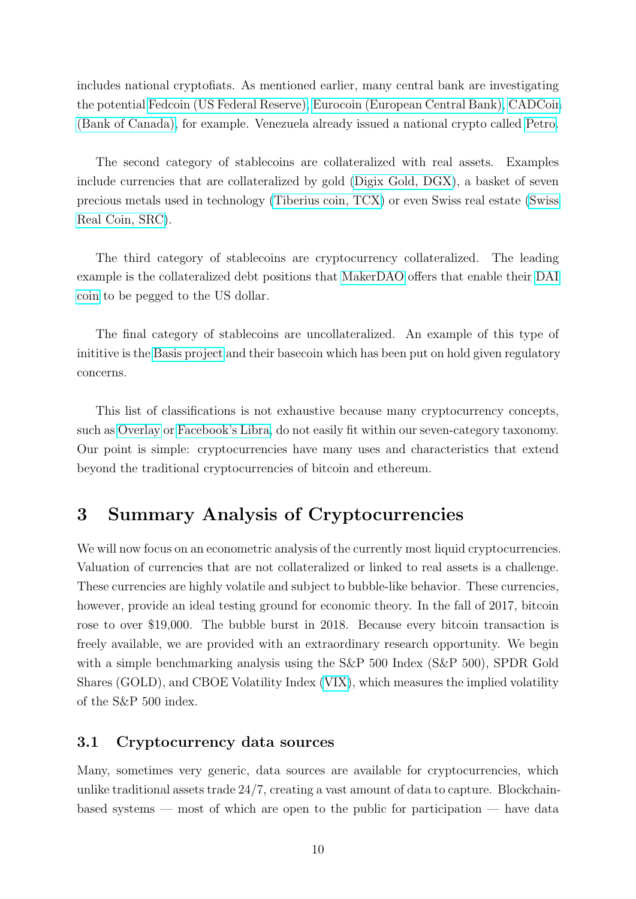includes national cryptofiats. As mentioned earlier, many central bank are investigating the potential [Fedcoin \(US Federal Reserve\),](https://law.yale.edu/system/files/area/center/global/document/411_final_paper_-_fedcoin.pdf) [Eurocoin \(European Central Bank\),](https://coinmarketcap.com/currencies/eurocoin/) [CADCoin](https://www.r3.com/wp-content/uploads/2017/06/cadcoin-versus-fedcoin_R3.pdf) [\(Bank of Canada\),](https://www.r3.com/wp-content/uploads/2017/06/cadcoin-versus-fedcoin_R3.pdf) for example. Venezuela already issued a national crypto called [Petro.](https://www.petro.gob.ve/)

The second category of stablecoins are collateralized with real assets. Examples include currencies that are collateralized by gold [\(Digix Gold, DGX\)](https://digix.global/), a basket of seven precious metals used in technology [\(Tiberius coin, TCX\)](https://www.tiberiuscoin.com/) or even Swiss real estate [\(Swiss](https://www.swissrealcoin.io/) [Real Coin, SRC\)](https://www.swissrealcoin.io/).

The third category of stablecoins are cryptocurrency collateralized. The leading example is the collateralized debt positions that [MakerDAO](https://makerdao.com/en/) offers that enable their [DAI](https://makerdao.com/en/dai) [coin](https://makerdao.com/en/dai) to be pegged to the US dollar.

The final category of stablecoins are uncollateralized. An example of this type of inititive is the [Basis project](https://www.basis.io/) and their basecoin which has been put on hold given regulatory concerns.

This list of classifications is not exhaustive because many cryptocurrency concepts, such as [Overlay](https://overlay.market) or [Facebook's Libra,](https://developers.libra.org/docs/assets/papers/libra-move-a-language-with-programmable-resources.pdf) do not easily fit within our seven-category taxonomy. Our point is simple: cryptocurrencies have many uses and characteristics that extend beyond the traditional cryptocurrencies of bitcoin and ethereum.

# 3 Summary Analysis of Cryptocurrencies

We will now focus on an econometric analysis of the currently most liquid cryptocurrencies. Valuation of currencies that are not collateralized or linked to real assets is a challenge. These currencies are highly volatile and subject to bubble-like behavior. These currencies, however, provide an ideal testing ground for economic theory. In the fall of 2017, bitcoin rose to over \$19,000. The bubble burst in 2018. Because every bitcoin transaction is freely available, we are provided with an extraordinary research opportunity. We begin with a simple benchmarking analysis using the S&P 500 Index (S&P 500), SPDR Gold Shares (GOLD), and CBOE Volatility Index [\(VIX\)](http://www.cboe.com/vix), which measures the implied volatility of the S&P 500 index.

#### 3.1 Cryptocurrency data sources

Many, sometimes very generic, data sources are available for cryptocurrencies, which unlike traditional assets trade 24/7, creating a vast amount of data to capture. Blockchainbased systems — most of which are open to the public for participation — have data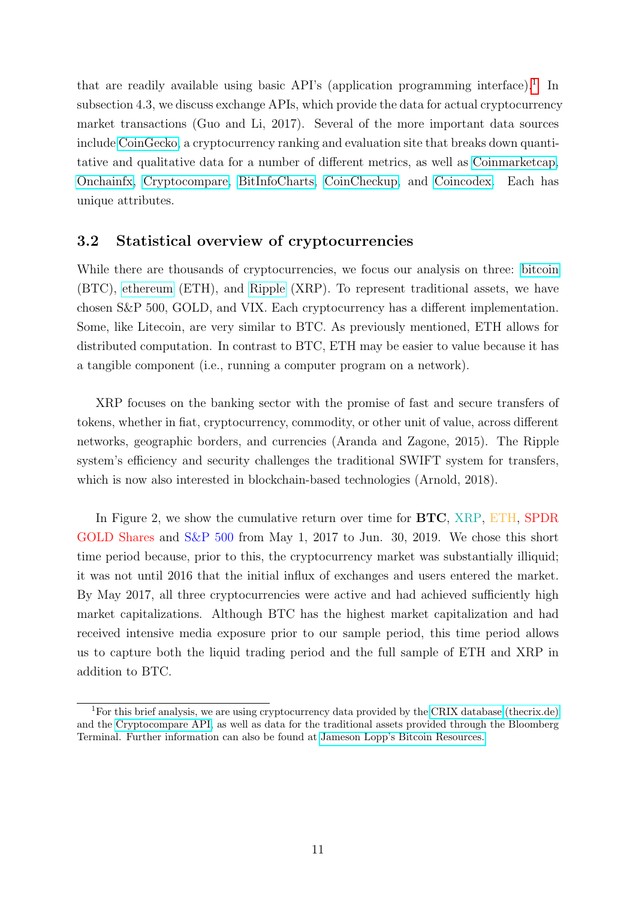that are readily available using basic API's (application programming interface).<sup>[1](#page-11-0)</sup> In subsection 4.3, we discuss exchange APIs, which provide the data for actual cryptocurrency market transactions (Guo and Li, 2017). Several of the more important data sources include [CoinGecko,](https://www.coingecko.com/en) a cryptocurrency ranking and evaluation site that breaks down quantitative and qualitative data for a number of different metrics, as well as [Coinmarketcap,](https://coinmarketcap.com/) [Onchainfx,](https://onchainfx.com/) [Cryptocompare,](https://www.cryptocompare.com/) [BitInfoCharts,](http://www.bitinfocharts.com) [CoinCheckup,](https://coincheckup.com/) and [Coincodex.](https://coincodex.com/) Each has unique attributes.

#### 3.2 Statistical overview of cryptocurrencies

While there are thousands of cryptocurrencies, we focus our analysis on three: [bitcoin](https://bitcoin.org/en/) (BTC), [ethereum](https://ethereum.org/) (ETH), and [Ripple](http://www.ripple.com) (XRP). To represent traditional assets, we have chosen S&P 500, GOLD, and VIX. Each cryptocurrency has a different implementation. Some, like Litecoin, are very similar to BTC. As previously mentioned, ETH allows for distributed computation. In contrast to BTC, ETH may be easier to value because it has a tangible component (i.e., running a computer program on a network).

XRP focuses on the banking sector with the promise of fast and secure transfers of tokens, whether in fiat, cryptocurrency, commodity, or other unit of value, across different networks, geographic borders, and currencies (Aranda and Zagone, 2015). The Ripple system's efficiency and security challenges the traditional SWIFT system for transfers, which is now also interested in blockchain-based technologies (Arnold, 2018).

In Figure 2, we show the cumulative return over time for  $BTC$ , XRP, ETH, SPDR GOLD Shares and S&P 500 from May 1, 2017 to Jun. 30, 2019. We chose this short time period because, prior to this, the cryptocurrency market was substantially illiquid; it was not until 2016 that the initial influx of exchanges and users entered the market. By May 2017, all three cryptocurrencies were active and had achieved sufficiently high market capitalizations. Although BTC has the highest market capitalization and had received intensive media exposure prior to our sample period, this time period allows us to capture both the liquid trading period and the full sample of ETH and XRP in addition to BTC.

<span id="page-11-0"></span><sup>&</sup>lt;sup>1</sup>For this brief analysis, we are using cryptocurrency data provided by the [CRIX database \(thecrix.de\)](http://thecrix.de/) and the [Cryptocompare API,](https://www.cryptocompare.com/api/) as well as data for the traditional assets provided through the Bloomberg Terminal. Further information can also be found at [Jameson Lopp's Bitcoin Resources.](https://lopp.net/bitcoin.html)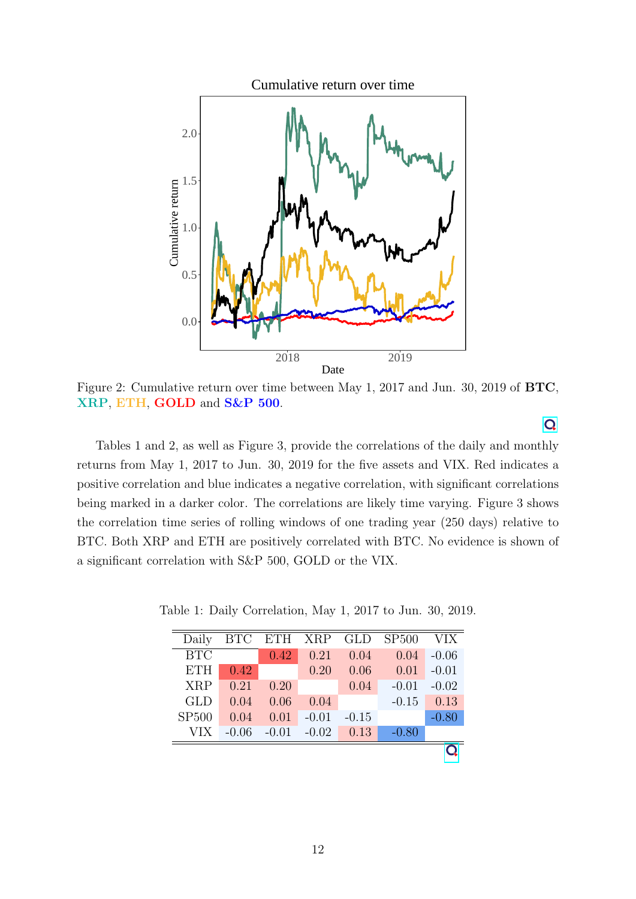

Figure 2: Cumulative return over time between May 1, 2017 and Jun. 30, 2019 of BTC, XRP, ETH, GOLD and S&P 500.

Tables 1 and 2, as well as Figure 3, provide the correlations of the daily and monthly returns from May 1, 2017 to Jun. 30, 2019 for the five assets and VIX. Red indicates a positive correlation and blue indicates a negative correlation, with significant correlations being marked in a darker color. The correlations are likely time varying. Figure 3 shows the correlation time series of rolling windows of one trading year (250 days) relative to BTC. Both XRP and ETH are positively correlated with BTC. No evidence is shown of a significant correlation with S&P 500, GOLD or the VIX.

| Daily        | <b>BTC</b> | ETH XRP |         | GLD     | SP500   | VIX     |
|--------------|------------|---------|---------|---------|---------|---------|
| BTC          |            | 0.42    | 0.21    | 0.04    | 0.04    | $-0.06$ |
| <b>ETH</b>   | 0.42       |         | 0.20    | 0.06    | 0.01    | $-0.01$ |
| <b>XRP</b>   | 0.21       | 0.20    |         | 0.04    | $-0.01$ | $-0.02$ |
| <b>GLD</b>   | 0.04       | 0.06    | 0.04    |         | $-0.15$ | 0.13    |
| <b>SP500</b> | 0.04       | 0.01    | $-0.01$ | $-0.15$ |         | $-0.80$ |
| VIX          | $-0.06$    | $-0.01$ | $-0.02$ | 0.13    | $-0.80$ |         |
|              |            |         |         |         |         |         |

Table 1: Daily Correlation, May 1, 2017 to Jun. 30, 2019.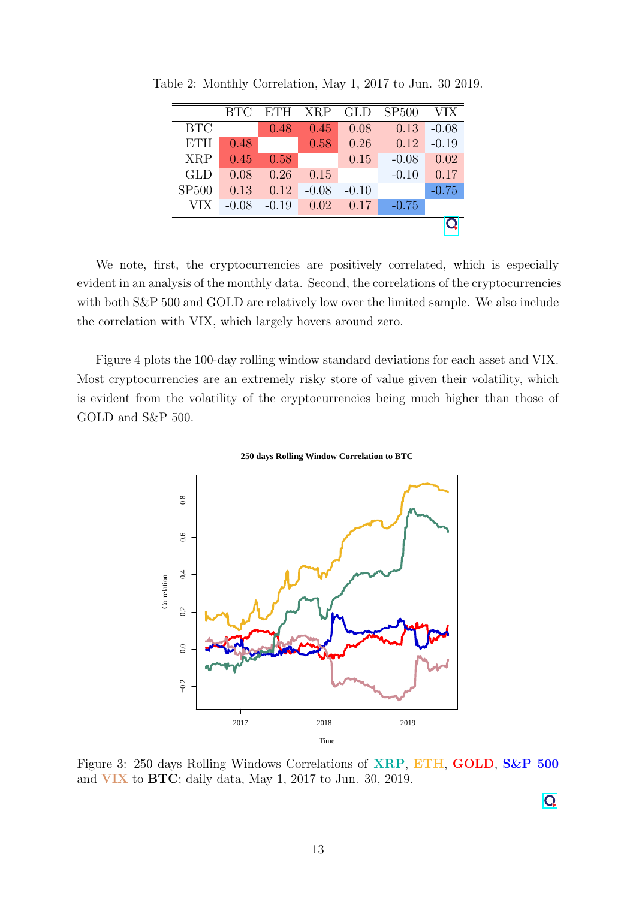|              | <b>BTC</b> | <b>ETH</b> | <b>XRP</b> | <b>GLD</b> | SP500   | VIX     |
|--------------|------------|------------|------------|------------|---------|---------|
| <b>BTC</b>   |            | 0.48       | 0.45       | 0.08       | 0.13    | $-0.08$ |
| <b>ETH</b>   | 0.48       |            | 0.58       | 0.26       | 0.12    | $-0.19$ |
| <b>XRP</b>   | 0.45       | 0.58       |            | 0.15       | $-0.08$ | 0.02    |
| GLD          | 0.08       | 0.26       | 0.15       |            | $-0.10$ | 0.17    |
| <b>SP500</b> | 0.13       | 0.12       | $-0.08$    | $-0.10$    |         | $-0.75$ |
| VIX          | $-0.08$    | $-0.19$    | 0.02       | 0.17       | $-0.75$ |         |
|              |            |            |            |            |         |         |

Table 2: Monthly Correlation, May 1, 2017 to Jun. 30 2019.

We note, first, the cryptocurrencies are positively correlated, which is especially evident in an analysis of the monthly data. Second, the correlations of the cryptocurrencies with both S&P 500 and GOLD are relatively low over the limited sample. We also include the correlation with VIX, which largely hovers around zero.

Figure 4 plots the 100-day rolling window standard deviations for each asset and VIX. Most cryptocurrencies are an extremely risky store of value given their volatility, which is evident from the volatility of the cryptocurrencies being much higher than those of GOLD and S&P 500.





Figure 3: 250 days Rolling Windows Correlations of XRP, ETH, GOLD, S&P 500 and VIX to BTC; daily data, May 1, 2017 to Jun. 30, 2019.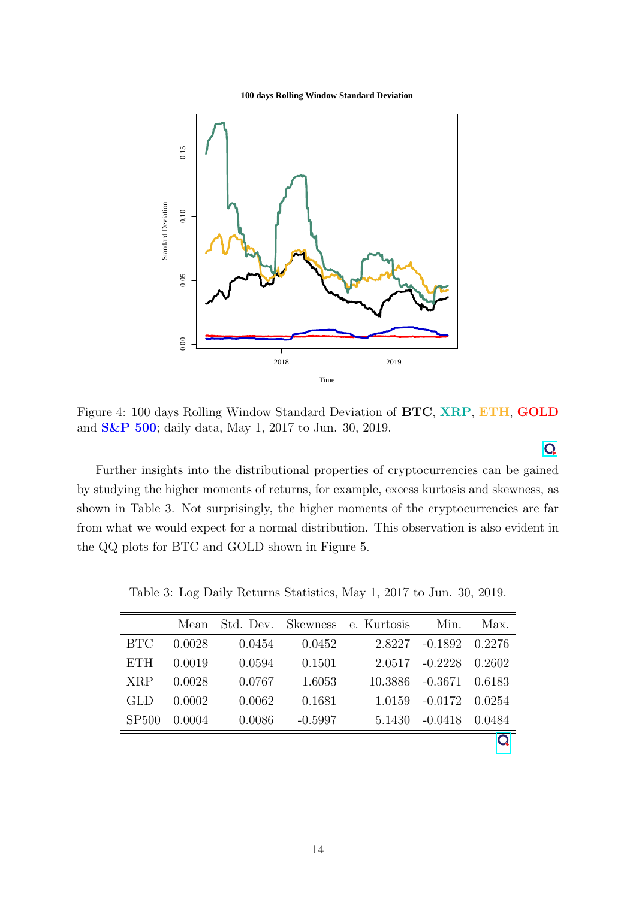**100 days Rolling Window Standard Deviation**



Figure 4: 100 days Rolling Window Standard Deviation of BTC, XRP, ETH, GOLD and S&P 500; daily data, May 1, 2017 to Jun. 30, 2019.

Further insights into the distributional properties of cryptocurrencies can be gained by studying the higher moments of returns, for example, excess kurtosis and skewness, as shown in Table 3. Not surprisingly, the higher moments of the cryptocurrencies are far from what we would expect for a normal distribution. This observation is also evident in the QQ plots for BTC and GOLD shown in Figure 5.

|            | Mean   |        |           | Std. Dev. Skewness e. Kurtosis | Min.      | Max.   |
|------------|--------|--------|-----------|--------------------------------|-----------|--------|
| <b>BTC</b> | 0.0028 | 0.0454 | 0.0452    | 2.8227                         | $-0.1892$ | 0.2276 |
| <b>ETH</b> | 0.0019 | 0.0594 | 0.1501    | 2.0517                         | $-0.2228$ | 0.2602 |
| <b>XRP</b> | 0.0028 | 0.0767 | 1.6053    | 10.3886                        | $-0.3671$ | 0.6183 |
| <b>GLD</b> | 0.0002 | 0.0062 | 0.1681    | 1.0159                         | $-0.0172$ | 0.0254 |
| SP500      | 0.0004 | 0.0086 | $-0.5997$ | 5.1430                         | $-0.0418$ | 0.0484 |
|            |        |        |           |                                |           |        |

Table 3: Log Daily Returns Statistics, May 1, 2017 to Jun. 30, 2019.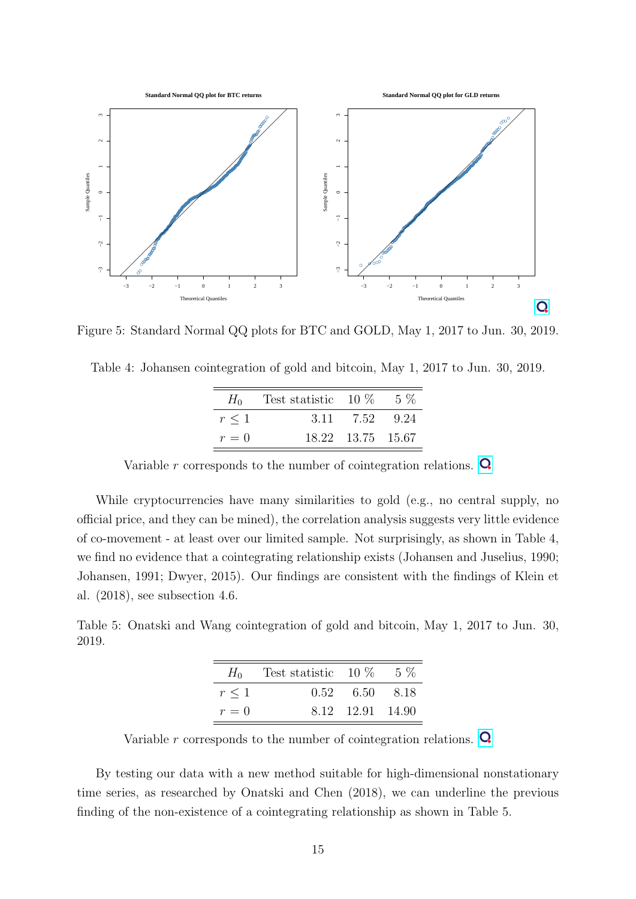

Figure 5: Standard Normal QQ plots for BTC and GOLD, May 1, 2017 to Jun. 30, 2019.

| $H_0$      | Test statistic $10\%$ |                   | - 5 % |
|------------|-----------------------|-------------------|-------|
| $r \leq 1$ | 3.11                  | 7.52 9.24         |       |
| $r=0$      |                       | 18.22 13.75 15.67 |       |

Variable r corresponds to the number of cointegration relations.  $\mathbf Q$ 

While cryptocurrencies have many similarities to gold (e.g., no central supply, no official price, and they can be mined), the correlation analysis suggests very little evidence of co-movement - at least over our limited sample. Not surprisingly, as shown in Table 4, we find no evidence that a cointegrating relationship exists (Johansen and Juselius, 1990; Johansen, 1991; Dwyer, 2015). Our findings are consistent with the findings of Klein et al. (2018), see subsection 4.6.

Table 5: Onatski and Wang cointegration of gold and bitcoin, May 1, 2017 to Jun. 30, 2019.

| $H_0$      | Test statistic $10\%$ |                  | - 5 % |
|------------|-----------------------|------------------|-------|
| $r \leq 1$ |                       | 0.52 6.50 8.18   |       |
| $r=0$      |                       | 8.12 12.91 14.90 |       |

Variable r corresponds to the number of cointegration relations.  $\mathbf Q$ 

By testing our data with a new method suitable for high-dimensional nonstationary time series, as researched by Onatski and Chen (2018), we can underline the previous finding of the non-existence of a cointegrating relationship as shown in Table 5.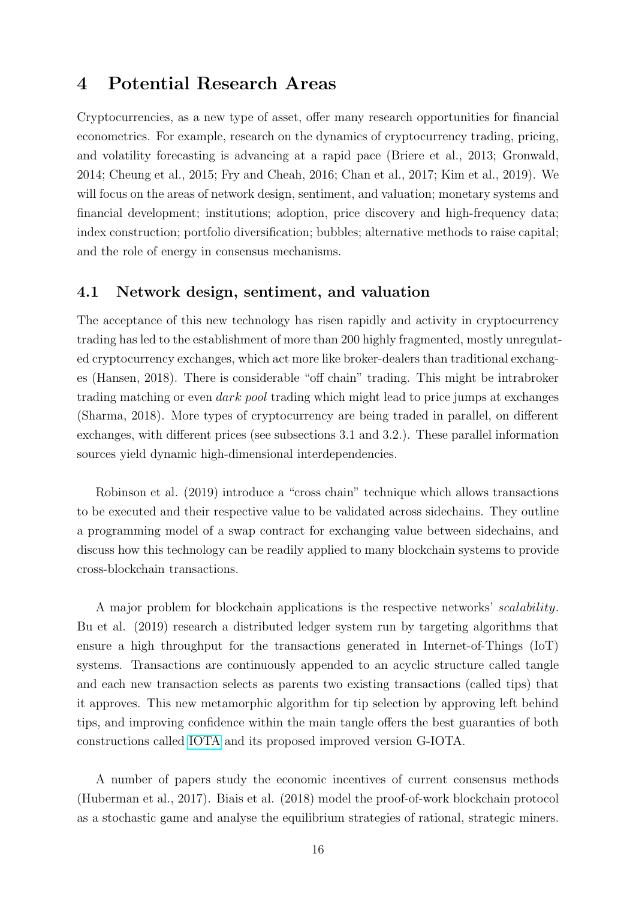### 4 Potential Research Areas

Cryptocurrencies, as a new type of asset, offer many research opportunities for financial econometrics. For example, research on the dynamics of cryptocurrency trading, pricing, and volatility forecasting is advancing at a rapid pace (Briere et al., 2013; Gronwald, 2014; Cheung et al., 2015; Fry and Cheah, 2016; Chan et al., 2017; Kim et al., 2019). We will focus on the areas of network design, sentiment, and valuation; monetary systems and financial development; institutions; adoption, price discovery and high-frequency data; index construction; portfolio diversification; bubbles; alternative methods to raise capital; and the role of energy in consensus mechanisms.

#### 4.1 Network design, sentiment, and valuation

The acceptance of this new technology has risen rapidly and activity in cryptocurrency trading has led to the establishment of more than 200 highly fragmented, mostly unregulated cryptocurrency exchanges, which act more like broker-dealers than traditional exchanges (Hansen, 2018). There is considerable "off chain" trading. This might be intrabroker trading matching or even dark pool trading which might lead to price jumps at exchanges (Sharma, 2018). More types of cryptocurrency are being traded in parallel, on different exchanges, with different prices (see subsections 3.1 and 3.2.). These parallel information sources yield dynamic high-dimensional interdependencies.

Robinson et al. (2019) introduce a "cross chain" technique which allows transactions to be executed and their respective value to be validated across sidechains. They outline a programming model of a swap contract for exchanging value between sidechains, and discuss how this technology can be readily applied to many blockchain systems to provide cross-blockchain transactions.

A major problem for blockchain applications is the respective networks' scalability. Bu et al. (2019) research a distributed ledger system run by targeting algorithms that ensure a high throughput for the transactions generated in Internet-of-Things (IoT) systems. Transactions are continuously appended to an acyclic structure called tangle and each new transaction selects as parents two existing transactions (called tips) that it approves. This new metamorphic algorithm for tip selection by approving left behind tips, and improving confidence within the main tangle offers the best guaranties of both constructions called [IOTA](https://www.iota.org/) and its proposed improved version G-IOTA.

A number of papers study the economic incentives of current consensus methods (Huberman et al., 2017). Biais et al. (2018) model the proof-of-work blockchain protocol as a stochastic game and analyse the equilibrium strategies of rational, strategic miners.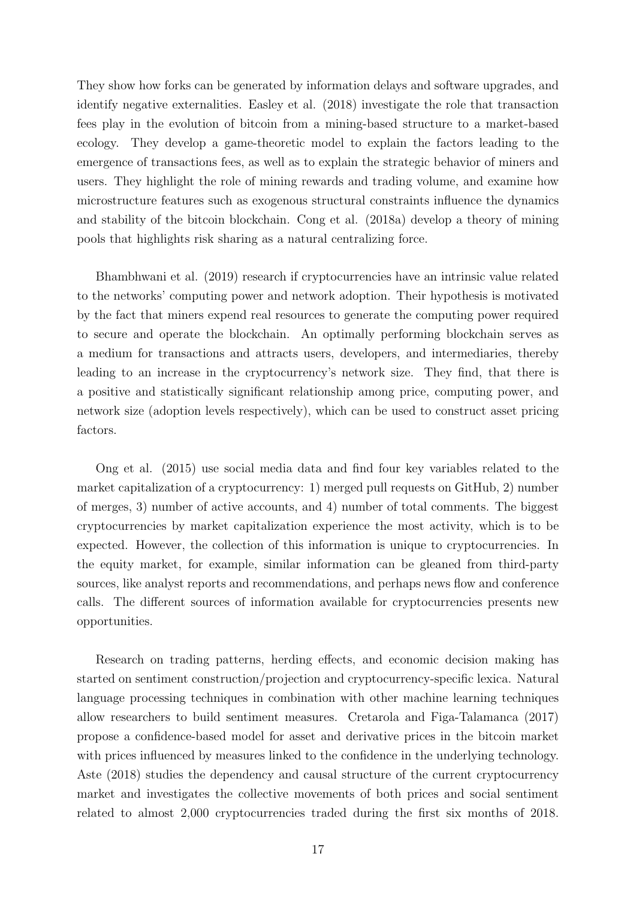They show how forks can be generated by information delays and software upgrades, and identify negative externalities. Easley et al. (2018) investigate the role that transaction fees play in the evolution of bitcoin from a mining-based structure to a market-based ecology. They develop a game-theoretic model to explain the factors leading to the emergence of transactions fees, as well as to explain the strategic behavior of miners and users. They highlight the role of mining rewards and trading volume, and examine how microstructure features such as exogenous structural constraints influence the dynamics and stability of the bitcoin blockchain. Cong et al. (2018a) develop a theory of mining pools that highlights risk sharing as a natural centralizing force.

Bhambhwani et al. (2019) research if cryptocurrencies have an intrinsic value related to the networks' computing power and network adoption. Their hypothesis is motivated by the fact that miners expend real resources to generate the computing power required to secure and operate the blockchain. An optimally performing blockchain serves as a medium for transactions and attracts users, developers, and intermediaries, thereby leading to an increase in the cryptocurrency's network size. They find, that there is a positive and statistically significant relationship among price, computing power, and network size (adoption levels respectively), which can be used to construct asset pricing factors.

Ong et al. (2015) use social media data and find four key variables related to the market capitalization of a cryptocurrency: 1) merged pull requests on GitHub, 2) number of merges, 3) number of active accounts, and 4) number of total comments. The biggest cryptocurrencies by market capitalization experience the most activity, which is to be expected. However, the collection of this information is unique to cryptocurrencies. In the equity market, for example, similar information can be gleaned from third-party sources, like analyst reports and recommendations, and perhaps news flow and conference calls. The different sources of information available for cryptocurrencies presents new opportunities.

Research on trading patterns, herding effects, and economic decision making has started on sentiment construction/projection and cryptocurrency-specific lexica. Natural language processing techniques in combination with other machine learning techniques allow researchers to build sentiment measures. Cretarola and Figa-Talamanca (2017) propose a confidence-based model for asset and derivative prices in the bitcoin market with prices influenced by measures linked to the confidence in the underlying technology. Aste (2018) studies the dependency and causal structure of the current cryptocurrency market and investigates the collective movements of both prices and social sentiment related to almost 2,000 cryptocurrencies traded during the first six months of 2018.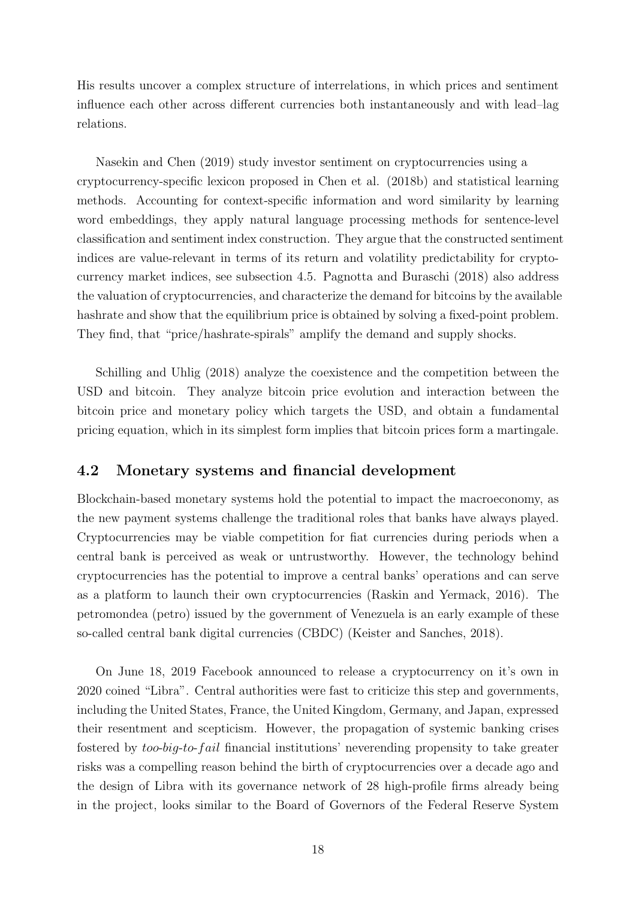His results uncover a complex structure of interrelations, in which prices and sentiment influence each other across different currencies both instantaneously and with lead–lag relations.

Nasekin and Chen (2019) study investor sentiment on cryptocurrencies using a cryptocurrency-specific lexicon proposed in Chen et al. (2018b) and statistical learning methods. Accounting for context-specific information and word similarity by learning word embeddings, they apply natural language processing methods for sentence-level classification and sentiment index construction. They argue that the constructed sentiment indices are value-relevant in terms of its return and volatility predictability for cryptocurrency market indices, see subsection 4.5. Pagnotta and Buraschi (2018) also address the valuation of cryptocurrencies, and characterize the demand for bitcoins by the available hashrate and show that the equilibrium price is obtained by solving a fixed-point problem. They find, that "price/hashrate-spirals" amplify the demand and supply shocks.

Schilling and Uhlig (2018) analyze the coexistence and the competition between the USD and bitcoin. They analyze bitcoin price evolution and interaction between the bitcoin price and monetary policy which targets the USD, and obtain a fundamental pricing equation, which in its simplest form implies that bitcoin prices form a martingale.

#### 4.2 Monetary systems and financial development

Blockchain-based monetary systems hold the potential to impact the macroeconomy, as the new payment systems challenge the traditional roles that banks have always played. Cryptocurrencies may be viable competition for fiat currencies during periods when a central bank is perceived as weak or untrustworthy. However, the technology behind cryptocurrencies has the potential to improve a central banks' operations and can serve as a platform to launch their own cryptocurrencies (Raskin and Yermack, 2016). The petromondea (petro) issued by the government of Venezuela is an early example of these so-called central bank digital currencies (CBDC) (Keister and Sanches, 2018).

On June 18, 2019 Facebook announced to release a cryptocurrency on it's own in 2020 coined "Libra". Central authorities were fast to criticize this step and governments, including the United States, France, the United Kingdom, Germany, and Japan, expressed their resentment and scepticism. However, the propagation of systemic banking crises fostered by too-big-to-fail financial institutions' neverending propensity to take greater risks was a compelling reason behind the birth of cryptocurrencies over a decade ago and the design of Libra with its governance network of 28 high-profile firms already being in the project, looks similar to the Board of Governors of the Federal Reserve System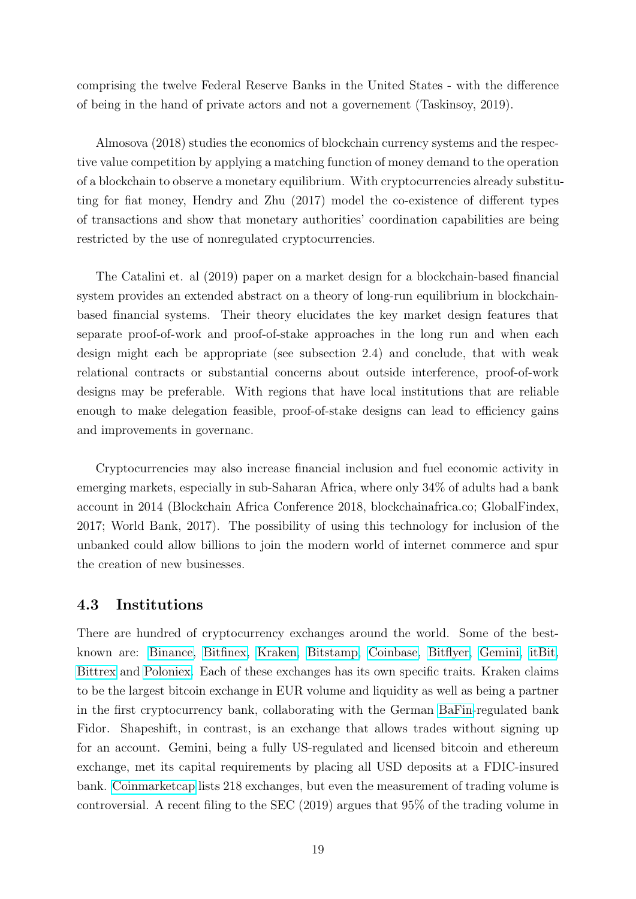comprising the twelve Federal Reserve Banks in the United States - with the difference of being in the hand of private actors and not a governement (Taskinsoy, 2019).

Almosova (2018) studies the economics of blockchain currency systems and the respective value competition by applying a matching function of money demand to the operation of a blockchain to observe a monetary equilibrium. With cryptocurrencies already substituting for fiat money, Hendry and Zhu (2017) model the co-existence of different types of transactions and show that monetary authorities' coordination capabilities are being restricted by the use of nonregulated cryptocurrencies.

The Catalini et. al (2019) paper on a market design for a blockchain-based financial system provides an extended abstract on a theory of long-run equilibrium in blockchainbased financial systems. Their theory elucidates the key market design features that separate proof-of-work and proof-of-stake approaches in the long run and when each design might each be appropriate (see subsection 2.4) and conclude, that with weak relational contracts or substantial concerns about outside interference, proof-of-work designs may be preferable. With regions that have local institutions that are reliable enough to make delegation feasible, proof-of-stake designs can lead to efficiency gains and improvements in governanc.

Cryptocurrencies may also increase financial inclusion and fuel economic activity in emerging markets, especially in sub-Saharan Africa, where only 34% of adults had a bank account in 2014 (Blockchain Africa Conference 2018, blockchainafrica.co; GlobalFindex, 2017; World Bank, 2017). The possibility of using this technology for inclusion of the unbanked could allow billions to join the modern world of internet commerce and spur the creation of new businesses.

#### 4.3 Institutions

There are hundred of cryptocurrency exchanges around the world. Some of the bestknown are: [Binance,](https://www.binance.com/en) [Bitfinex,](https://www.bitfinex.com/) [Kraken,](https://www.kraken.com) [Bitstamp,](https://www.bitstamp.net/) [Coinbase,](https://www.coinbase.com/) [Bitflyer,](https://bitflyer.com/en-eu/) [Gemini,](https://gemini24.zendesk.com) [itBit,](https://www.itbit.com/) [Bittrex](https://international.bittrex.com/) and [Poloniex.](https://poloniex.com/) Each of these exchanges has its own specific traits. Kraken claims to be the largest bitcoin exchange in EUR volume and liquidity as well as being a partner in the first cryptocurrency bank, collaborating with the German [BaFin-](https://www.bafin.de/EN/Homepage/homepage_node.html)regulated bank Fidor. Shapeshift, in contrast, is an exchange that allows trades without signing up for an account. Gemini, being a fully US-regulated and licensed bitcoin and ethereum exchange, met its capital requirements by placing all USD deposits at a FDIC-insured bank. [Coinmarketcap](https://coinmarketcap.com/exchanges/volume/24-hour/) lists 218 exchanges, but even the measurement of trading volume is controversial. A recent filing to the SEC (2019) argues that 95% of the trading volume in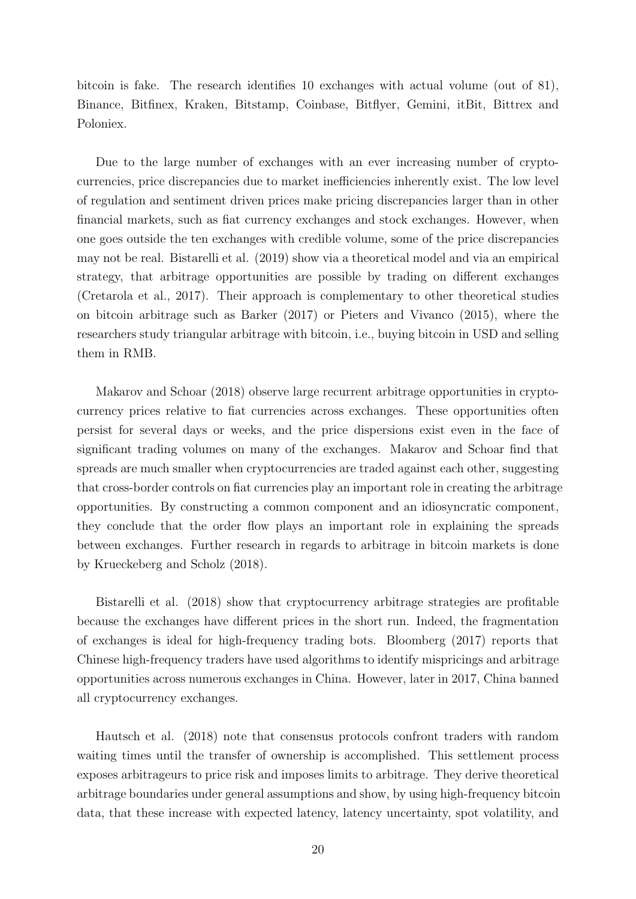bitcoin is fake. The research identifies 10 exchanges with actual volume (out of 81), Binance, Bitfinex, Kraken, Bitstamp, Coinbase, Bitflyer, Gemini, itBit, Bittrex and Poloniex.

Due to the large number of exchanges with an ever increasing number of cryptocurrencies, price discrepancies due to market inefficiencies inherently exist. The low level of regulation and sentiment driven prices make pricing discrepancies larger than in other financial markets, such as fiat currency exchanges and stock exchanges. However, when one goes outside the ten exchanges with credible volume, some of the price discrepancies may not be real. Bistarelli et al. (2019) show via a theoretical model and via an empirical strategy, that arbitrage opportunities are possible by trading on different exchanges (Cretarola et al., 2017). Their approach is complementary to other theoretical studies on bitcoin arbitrage such as Barker (2017) or Pieters and Vivanco (2015), where the researchers study triangular arbitrage with bitcoin, i.e., buying bitcoin in USD and selling them in RMB.

Makarov and Schoar (2018) observe large recurrent arbitrage opportunities in cryptocurrency prices relative to fiat currencies across exchanges. These opportunities often persist for several days or weeks, and the price dispersions exist even in the face of significant trading volumes on many of the exchanges. Makarov and Schoar find that spreads are much smaller when cryptocurrencies are traded against each other, suggesting that cross-border controls on fiat currencies play an important role in creating the arbitrage opportunities. By constructing a common component and an idiosyncratic component, they conclude that the order flow plays an important role in explaining the spreads between exchanges. Further research in regards to arbitrage in bitcoin markets is done by Krueckeberg and Scholz (2018).

Bistarelli et al. (2018) show that cryptocurrency arbitrage strategies are profitable because the exchanges have different prices in the short run. Indeed, the fragmentation of exchanges is ideal for high-frequency trading bots. Bloomberg (2017) reports that Chinese high-frequency traders have used algorithms to identify mispricings and arbitrage opportunities across numerous exchanges in China. However, later in 2017, China banned all cryptocurrency exchanges.

Hautsch et al. (2018) note that consensus protocols confront traders with random waiting times until the transfer of ownership is accomplished. This settlement process exposes arbitrageurs to price risk and imposes limits to arbitrage. They derive theoretical arbitrage boundaries under general assumptions and show, by using high-frequency bitcoin data, that these increase with expected latency, latency uncertainty, spot volatility, and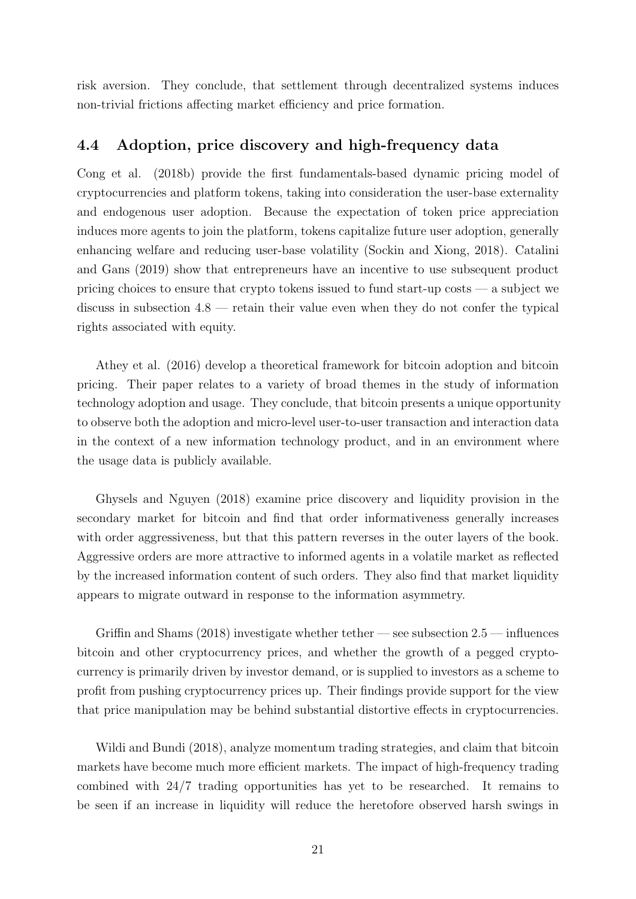risk aversion. They conclude, that settlement through decentralized systems induces non-trivial frictions affecting market efficiency and price formation.

#### 4.4 Adoption, price discovery and high-frequency data

Cong et al. (2018b) provide the first fundamentals-based dynamic pricing model of cryptocurrencies and platform tokens, taking into consideration the user-base externality and endogenous user adoption. Because the expectation of token price appreciation induces more agents to join the platform, tokens capitalize future user adoption, generally enhancing welfare and reducing user-base volatility (Sockin and Xiong, 2018). Catalini and Gans (2019) show that entrepreneurs have an incentive to use subsequent product pricing choices to ensure that crypto tokens issued to fund start-up costs — a subject we discuss in subsection 4.8 — retain their value even when they do not confer the typical rights associated with equity.

Athey et al. (2016) develop a theoretical framework for bitcoin adoption and bitcoin pricing. Their paper relates to a variety of broad themes in the study of information technology adoption and usage. They conclude, that bitcoin presents a unique opportunity to observe both the adoption and micro-level user-to-user transaction and interaction data in the context of a new information technology product, and in an environment where the usage data is publicly available.

Ghysels and Nguyen (2018) examine price discovery and liquidity provision in the secondary market for bitcoin and find that order informativeness generally increases with order aggressiveness, but that this pattern reverses in the outer layers of the book. Aggressive orders are more attractive to informed agents in a volatile market as reflected by the increased information content of such orders. They also find that market liquidity appears to migrate outward in response to the information asymmetry.

Griffin and Shams (2018) investigate whether tether — see subsection  $2.5$  — influences bitcoin and other cryptocurrency prices, and whether the growth of a pegged cryptocurrency is primarily driven by investor demand, or is supplied to investors as a scheme to profit from pushing cryptocurrency prices up. Their findings provide support for the view that price manipulation may be behind substantial distortive effects in cryptocurrencies.

Wildi and Bundi (2018), analyze momentum trading strategies, and claim that bitcoin markets have become much more efficient markets. The impact of high-frequency trading combined with 24/7 trading opportunities has yet to be researched. It remains to be seen if an increase in liquidity will reduce the heretofore observed harsh swings in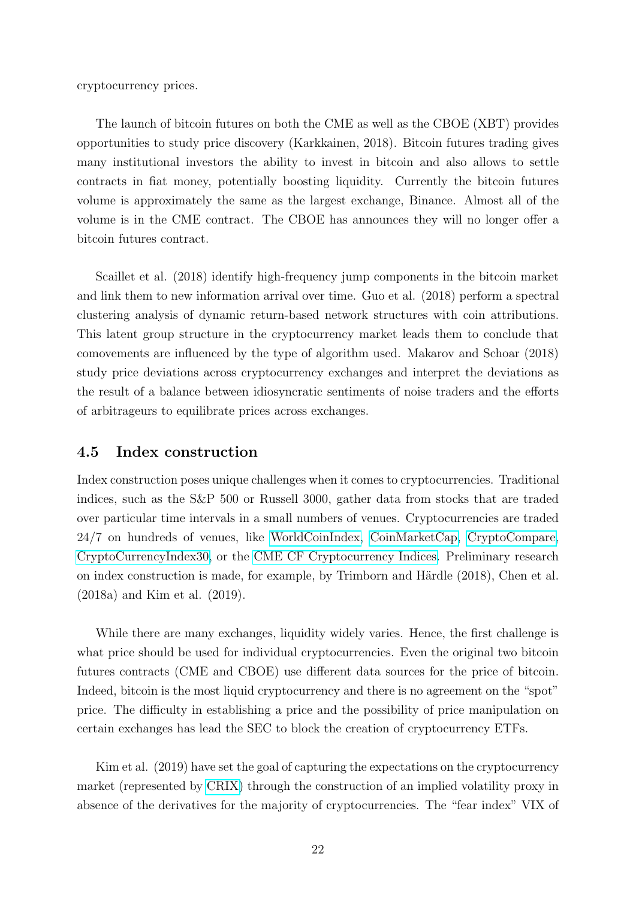cryptocurrency prices.

The launch of bitcoin futures on both the CME as well as the CBOE (XBT) provides opportunities to study price discovery (Karkkainen, 2018). Bitcoin futures trading gives many institutional investors the ability to invest in bitcoin and also allows to settle contracts in fiat money, potentially boosting liquidity. Currently the bitcoin futures volume is approximately the same as the largest exchange, Binance. Almost all of the volume is in the CME contract. The CBOE has announces they will no longer offer a bitcoin futures contract.

Scaillet et al. (2018) identify high-frequency jump components in the bitcoin market and link them to new information arrival over time. Guo et al. (2018) perform a spectral clustering analysis of dynamic return-based network structures with coin attributions. This latent group structure in the cryptocurrency market leads them to conclude that comovements are influenced by the type of algorithm used. Makarov and Schoar (2018) study price deviations across cryptocurrency exchanges and interpret the deviations as the result of a balance between idiosyncratic sentiments of noise traders and the efforts of arbitrageurs to equilibrate prices across exchanges.

#### 4.5 Index construction

Index construction poses unique challenges when it comes to cryptocurrencies. Traditional indices, such as the S&P 500 or Russell 3000, gather data from stocks that are traded over particular time intervals in a small numbers of venues. Cryptocurrencies are traded 24/7 on hundreds of venues, like [WorldCoinIndex,](https://www.worldcoinindex.com/) [CoinMarketCap,](https://coinmarketcap.com/) [CryptoCompare,](https://www.cryptocompare.com/) [CryptoCurrencyIndex30,](https://cci30.com/) or the [CME CF Cryptocurrency Indices.](https://www.cmegroup.com/trading/cryptocurrency-indices.html) Preliminary research on index construction is made, for example, by Trimborn and Härdle (2018), Chen et al. (2018a) and Kim et al. (2019).

While there are many exchanges, liquidity widely varies. Hence, the first challenge is what price should be used for individual cryptocurrencies. Even the original two bitcoin futures contracts (CME and CBOE) use different data sources for the price of bitcoin. Indeed, bitcoin is the most liquid cryptocurrency and there is no agreement on the "spot" price. The difficulty in establishing a price and the possibility of price manipulation on certain exchanges has lead the SEC to block the creation of cryptocurrency ETFs.

Kim et al. (2019) have set the goal of capturing the expectations on the cryptocurrency market (represented by [CRIX\)](https://thecrix.de/) through the construction of an implied volatility proxy in absence of the derivatives for the majority of cryptocurrencies. The "fear index" VIX of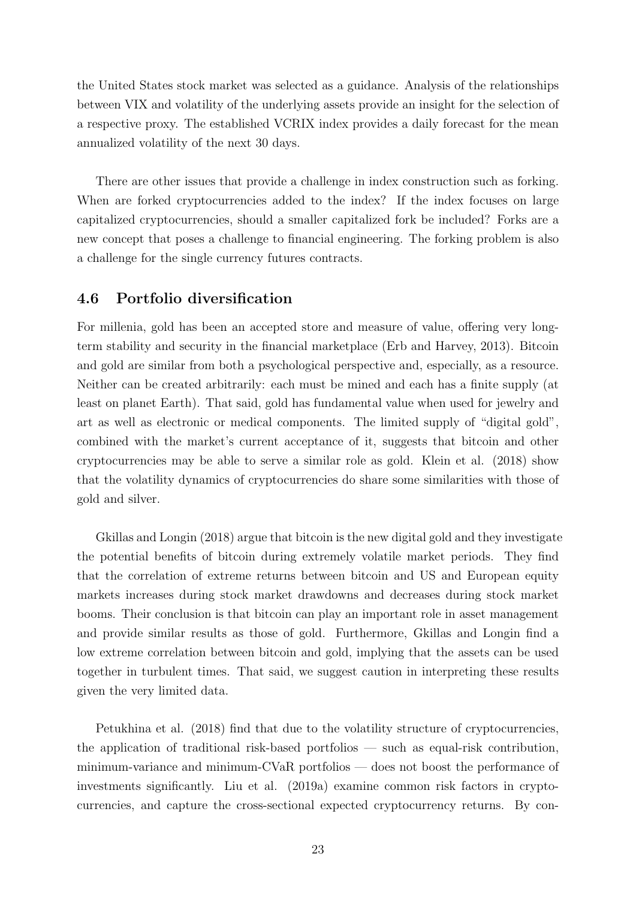the United States stock market was selected as a guidance. Analysis of the relationships between VIX and volatility of the underlying assets provide an insight for the selection of a respective proxy. The established VCRIX index provides a daily forecast for the mean annualized volatility of the next 30 days.

There are other issues that provide a challenge in index construction such as forking. When are forked cryptocurrencies added to the index? If the index focuses on large capitalized cryptocurrencies, should a smaller capitalized fork be included? Forks are a new concept that poses a challenge to financial engineering. The forking problem is also a challenge for the single currency futures contracts.

#### 4.6 Portfolio diversification

For millenia, gold has been an accepted store and measure of value, offering very longterm stability and security in the financial marketplace (Erb and Harvey, 2013). Bitcoin and gold are similar from both a psychological perspective and, especially, as a resource. Neither can be created arbitrarily: each must be mined and each has a finite supply (at least on planet Earth). That said, gold has fundamental value when used for jewelry and art as well as electronic or medical components. The limited supply of "digital gold", combined with the market's current acceptance of it, suggests that bitcoin and other cryptocurrencies may be able to serve a similar role as gold. Klein et al. (2018) show that the volatility dynamics of cryptocurrencies do share some similarities with those of gold and silver.

Gkillas and Longin (2018) argue that bitcoin is the new digital gold and they investigate the potential benefits of bitcoin during extremely volatile market periods. They find that the correlation of extreme returns between bitcoin and US and European equity markets increases during stock market drawdowns and decreases during stock market booms. Their conclusion is that bitcoin can play an important role in asset management and provide similar results as those of gold. Furthermore, Gkillas and Longin find a low extreme correlation between bitcoin and gold, implying that the assets can be used together in turbulent times. That said, we suggest caution in interpreting these results given the very limited data.

Petukhina et al. (2018) find that due to the volatility structure of cryptocurrencies, the application of traditional risk-based portfolios — such as equal-risk contribution, minimum-variance and minimum-CVaR portfolios — does not boost the performance of investments significantly. Liu et al. (2019a) examine common risk factors in cryptocurrencies, and capture the cross-sectional expected cryptocurrency returns. By con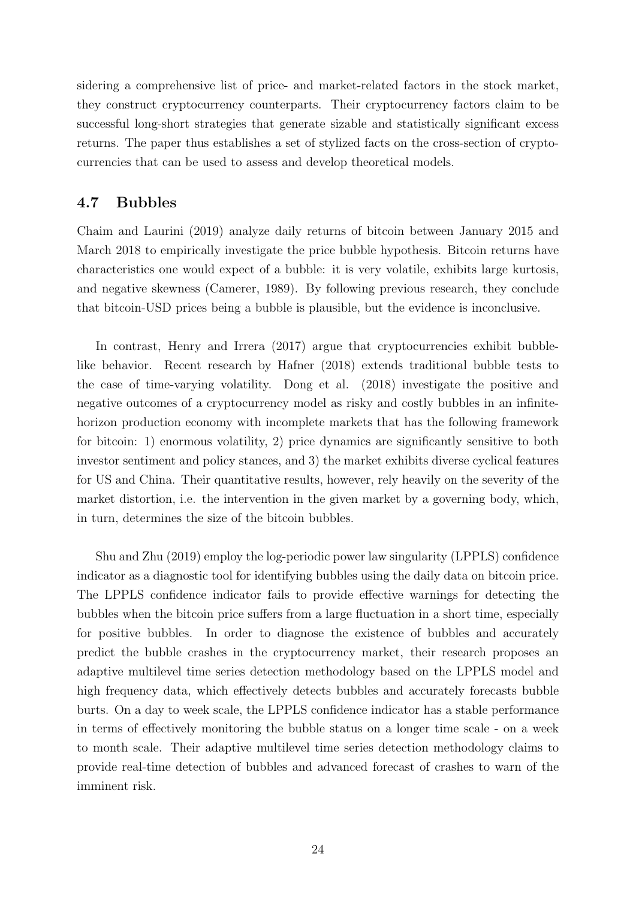sidering a comprehensive list of price- and market-related factors in the stock market, they construct cryptocurrency counterparts. Their cryptocurrency factors claim to be successful long-short strategies that generate sizable and statistically significant excess returns. The paper thus establishes a set of stylized facts on the cross-section of cryptocurrencies that can be used to assess and develop theoretical models.

#### 4.7 Bubbles

Chaim and Laurini (2019) analyze daily returns of bitcoin between January 2015 and March 2018 to empirically investigate the price bubble hypothesis. Bitcoin returns have characteristics one would expect of a bubble: it is very volatile, exhibits large kurtosis, and negative skewness (Camerer, 1989). By following previous research, they conclude that bitcoin-USD prices being a bubble is plausible, but the evidence is inconclusive.

In contrast, Henry and Irrera (2017) argue that cryptocurrencies exhibit bubblelike behavior. Recent research by Hafner (2018) extends traditional bubble tests to the case of time-varying volatility. Dong et al. (2018) investigate the positive and negative outcomes of a cryptocurrency model as risky and costly bubbles in an infinitehorizon production economy with incomplete markets that has the following framework for bitcoin: 1) enormous volatility, 2) price dynamics are significantly sensitive to both investor sentiment and policy stances, and 3) the market exhibits diverse cyclical features for US and China. Their quantitative results, however, rely heavily on the severity of the market distortion, i.e. the intervention in the given market by a governing body, which, in turn, determines the size of the bitcoin bubbles.

Shu and Zhu (2019) employ the log-periodic power law singularity (LPPLS) confidence indicator as a diagnostic tool for identifying bubbles using the daily data on bitcoin price. The LPPLS confidence indicator fails to provide effective warnings for detecting the bubbles when the bitcoin price suffers from a large fluctuation in a short time, especially for positive bubbles. In order to diagnose the existence of bubbles and accurately predict the bubble crashes in the cryptocurrency market, their research proposes an adaptive multilevel time series detection methodology based on the LPPLS model and high frequency data, which effectively detects bubbles and accurately forecasts bubble burts. On a day to week scale, the LPPLS confidence indicator has a stable performance in terms of effectively monitoring the bubble status on a longer time scale - on a week to month scale. Their adaptive multilevel time series detection methodology claims to provide real-time detection of bubbles and advanced forecast of crashes to warn of the imminent risk.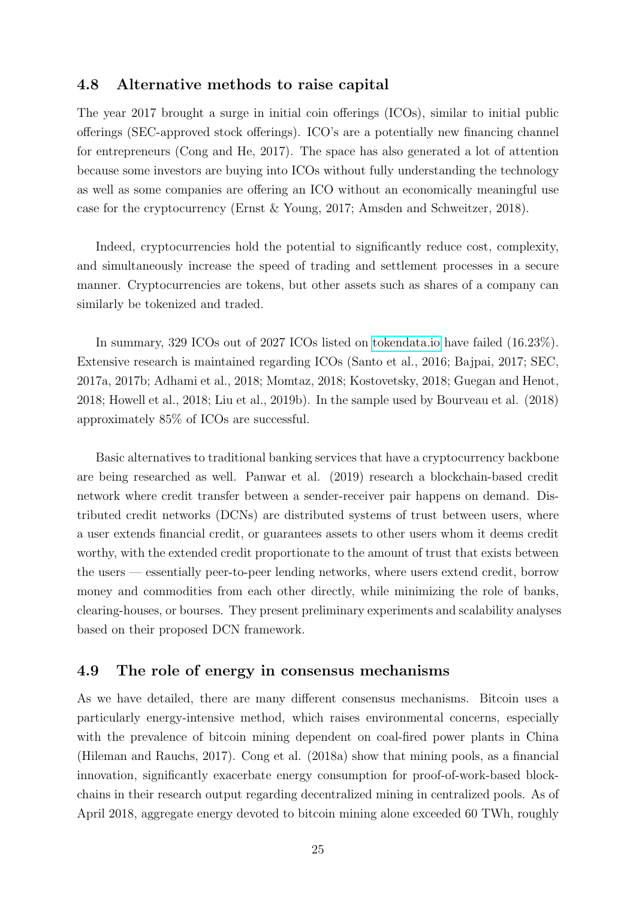#### 4.8 Alternative methods to raise capital

The year 2017 brought a surge in initial coin offerings (ICOs), similar to initial public offerings (SEC-approved stock offerings). ICO's are a potentially new financing channel for entrepreneurs (Cong and He, 2017). The space has also generated a lot of attention because some investors are buying into ICOs without fully understanding the technology as well as some companies are offering an ICO without an economically meaningful use case for the cryptocurrency (Ernst & Young, 2017; Amsden and Schweitzer, 2018).

Indeed, cryptocurrencies hold the potential to significantly reduce cost, complexity, and simultaneously increase the speed of trading and settlement processes in a secure manner. Cryptocurrencies are tokens, but other assets such as shares of a company can similarly be tokenized and traded.

In summary, 329 ICOs out of 2027 ICOs listed on [tokendata.io](http://www.tokendata.io) have failed (16.23%). Extensive research is maintained regarding ICOs (Santo et al., 2016; Bajpai, 2017; SEC, 2017a, 2017b; Adhami et al., 2018; Momtaz, 2018; Kostovetsky, 2018; Guegan and Henot, 2018; Howell et al., 2018; Liu et al., 2019b). In the sample used by Bourveau et al. (2018) approximately 85% of ICOs are successful.

Basic alternatives to traditional banking services that have a cryptocurrency backbone are being researched as well. Panwar et al. (2019) research a blockchain-based credit network where credit transfer between a sender-receiver pair happens on demand. Distributed credit networks (DCNs) are distributed systems of trust between users, where a user extends financial credit, or guarantees assets to other users whom it deems credit worthy, with the extended credit proportionate to the amount of trust that exists between the users — essentially peer-to-peer lending networks, where users extend credit, borrow money and commodities from each other directly, while minimizing the role of banks, clearing-houses, or bourses. They present preliminary experiments and scalability analyses based on their proposed DCN framework.

#### 4.9 The role of energy in consensus mechanisms

As we have detailed, there are many different consensus mechanisms. Bitcoin uses a particularly energy-intensive method, which raises environmental concerns, especially with the prevalence of bitcoin mining dependent on coal-fired power plants in China (Hileman and Rauchs, 2017). Cong et al. (2018a) show that mining pools, as a financial innovation, significantly exacerbate energy consumption for proof-of-work-based blockchains in their research output regarding decentralized mining in centralized pools. As of April 2018, aggregate energy devoted to bitcoin mining alone exceeded 60 TWh, roughly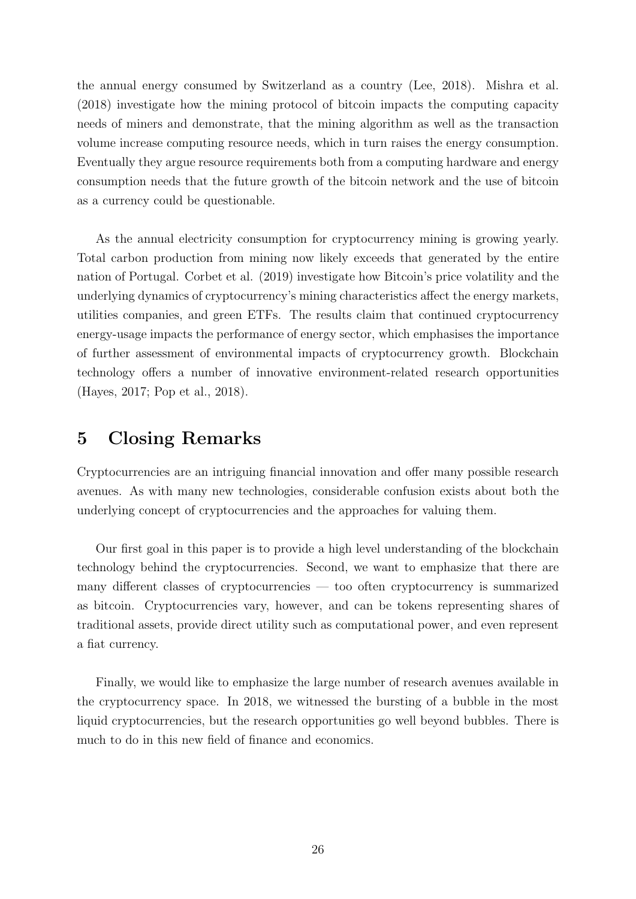the annual energy consumed by Switzerland as a country (Lee, 2018). Mishra et al. (2018) investigate how the mining protocol of bitcoin impacts the computing capacity needs of miners and demonstrate, that the mining algorithm as well as the transaction volume increase computing resource needs, which in turn raises the energy consumption. Eventually they argue resource requirements both from a computing hardware and energy consumption needs that the future growth of the bitcoin network and the use of bitcoin as a currency could be questionable.

As the annual electricity consumption for cryptocurrency mining is growing yearly. Total carbon production from mining now likely exceeds that generated by the entire nation of Portugal. Corbet et al. (2019) investigate how Bitcoin's price volatility and the underlying dynamics of cryptocurrency's mining characteristics affect the energy markets, utilities companies, and green ETFs. The results claim that continued cryptocurrency energy-usage impacts the performance of energy sector, which emphasises the importance of further assessment of environmental impacts of cryptocurrency growth. Blockchain technology offers a number of innovative environment-related research opportunities (Hayes, 2017; Pop et al., 2018).

### 5 Closing Remarks

Cryptocurrencies are an intriguing financial innovation and offer many possible research avenues. As with many new technologies, considerable confusion exists about both the underlying concept of cryptocurrencies and the approaches for valuing them.

Our first goal in this paper is to provide a high level understanding of the blockchain technology behind the cryptocurrencies. Second, we want to emphasize that there are many different classes of cryptocurrencies — too often cryptocurrency is summarized as bitcoin. Cryptocurrencies vary, however, and can be tokens representing shares of traditional assets, provide direct utility such as computational power, and even represent a fiat currency.

Finally, we would like to emphasize the large number of research avenues available in the cryptocurrency space. In 2018, we witnessed the bursting of a bubble in the most liquid cryptocurrencies, but the research opportunities go well beyond bubbles. There is much to do in this new field of finance and economics.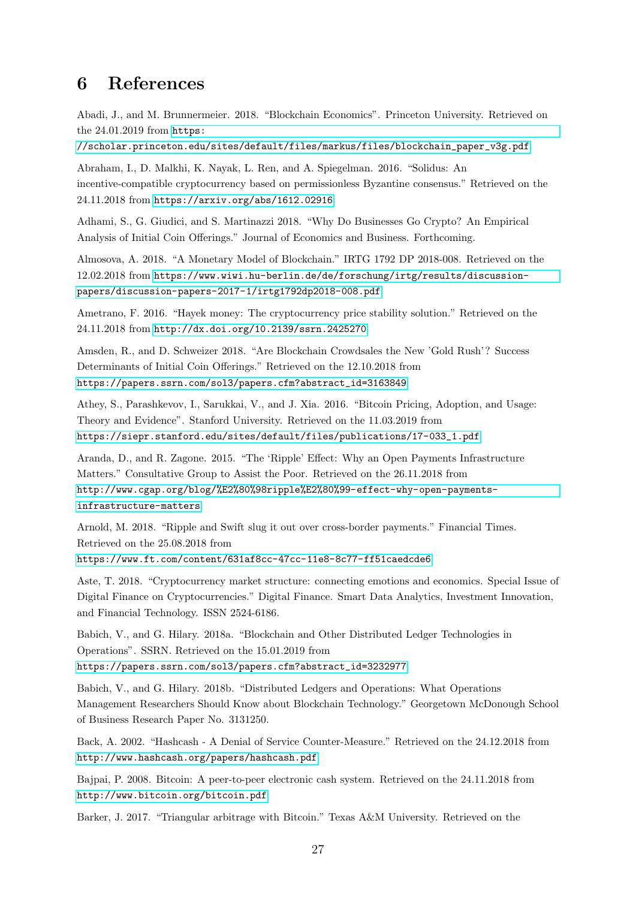### 6 References

Abadi, J., and M. Brunnermeier. 2018. "Blockchain Economics". Princeton University. Retrieved on the 24.01.2019 from [https:](https://scholar.princeton.edu/sites/default/files/markus/files/blockchain_paper_v3g.pdf)

[//scholar.princeton.edu/sites/default/files/markus/files/blockchain\\_paper\\_v3g.pdf](https://scholar.princeton.edu/sites/default/files/markus/files/blockchain_paper_v3g.pdf).

Abraham, I., D. Malkhi, K. Nayak, L. Ren, and A. Spiegelman. 2016. "Solidus: An incentive-compatible cryptocurrency based on permissionless Byzantine consensus." Retrieved on the 24.11.2018 from <https://arxiv.org/abs/1612.02916>.

Adhami, S., G. Giudici, and S. Martinazzi 2018. "Why Do Businesses Go Crypto? An Empirical Analysis of Initial Coin Offerings." Journal of Economics and Business. Forthcoming.

Almosova, A. 2018. "A Monetary Model of Blockchain." IRTG 1792 DP 2018-008. Retrieved on the 12.02.2018 from [https://www.wiwi.hu-berlin.de/de/forschung/irtg/results/discussion](https://www.wiwi.hu-berlin.de/de/forschung/irtg/results/discussion-papers/discussion-papers-2017-1/irtg1792dp2018-008.pdf)[papers/discussion-papers-2017-1/irtg1792dp2018-008.pdf](https://www.wiwi.hu-berlin.de/de/forschung/irtg/results/discussion-papers/discussion-papers-2017-1/irtg1792dp2018-008.pdf).

Ametrano, F. 2016. "Hayek money: The cryptocurrency price stability solution." Retrieved on the 24.11.2018 from <http://dx.doi.org/10.2139/ssrn.2425270>.

Amsden, R., and D. Schweizer 2018. "Are Blockchain Crowdsales the New 'Gold Rush'? Success Determinants of Initial Coin Offerings." Retrieved on the 12.10.2018 from [https://papers.ssrn.com/sol3/papers.cfm?abstract\\_id=3163849](https://papers.ssrn.com/sol3/papers.cfm?abstract_id=3163849)

Athey, S., Parashkevov, I., Sarukkai, V., and J. Xia. 2016. "Bitcoin Pricing, Adoption, and Usage: Theory and Evidence". Stanford University. Retrieved on the 11.03.2019 from [https://siepr.stanford.edu/sites/default/files/publications/17-033\\_1.pdf](https://siepr.stanford.edu/sites/default/files/publications/17-033_1.pdf).

Aranda, D., and R. Zagone. 2015. "The 'Ripple' Effect: Why an Open Payments Infrastructure Matters." Consultative Group to Assist the Poor. Retrieved on the 26.11.2018 from [http://www.cgap.org/blog/%E2%80%98ripple%E2%80%99-effect-why-open-payments](http://www.cgap.org/blog/%E2%80%98ripple%E2%80%99-effect-why-open-payments-infrastructure-matters)[infrastructure-matters](http://www.cgap.org/blog/%E2%80%98ripple%E2%80%99-effect-why-open-payments-infrastructure-matters).

Arnold, M. 2018. "Ripple and Swift slug it out over cross-border payments." Financial Times. Retrieved on the 25.08.2018 from

<https://www.ft.com/content/631af8cc-47cc-11e8-8c77-ff51caedcde6>.

Aste, T. 2018. "Cryptocurrency market structure: connecting emotions and economics. Special Issue of Digital Finance on Cryptocurrencies." Digital Finance. Smart Data Analytics, Investment Innovation, and Financial Technology. ISSN 2524-6186.

Babich, V., and G. Hilary. 2018a. "Blockchain and Other Distributed Ledger Technologies in Operations". SSRN. Retrieved on the 15.01.2019 from [https://papers.ssrn.com/sol3/papers.cfm?abstract\\_id=3232977](https://papers.ssrn.com/sol3/papers.cfm?abstract_id=3232977).

Babich, V., and G. Hilary. 2018b. "Distributed Ledgers and Operations: What Operations Management Researchers Should Know about Blockchain Technology." Georgetown McDonough School of Business Research Paper No. 3131250.

Back, A. 2002. "Hashcash - A Denial of Service Counter-Measure." Retrieved on the 24.12.2018 from <http://www.hashcash.org/papers/hashcash.pdf>.

Bajpai, P. 2008. Bitcoin: A peer-to-peer electronic cash system. Retrieved on the 24.11.2018 from <http://www.bitcoin.org/bitcoin.pdf>.

Barker, J. 2017. "Triangular arbitrage with Bitcoin." Texas A&M University. Retrieved on the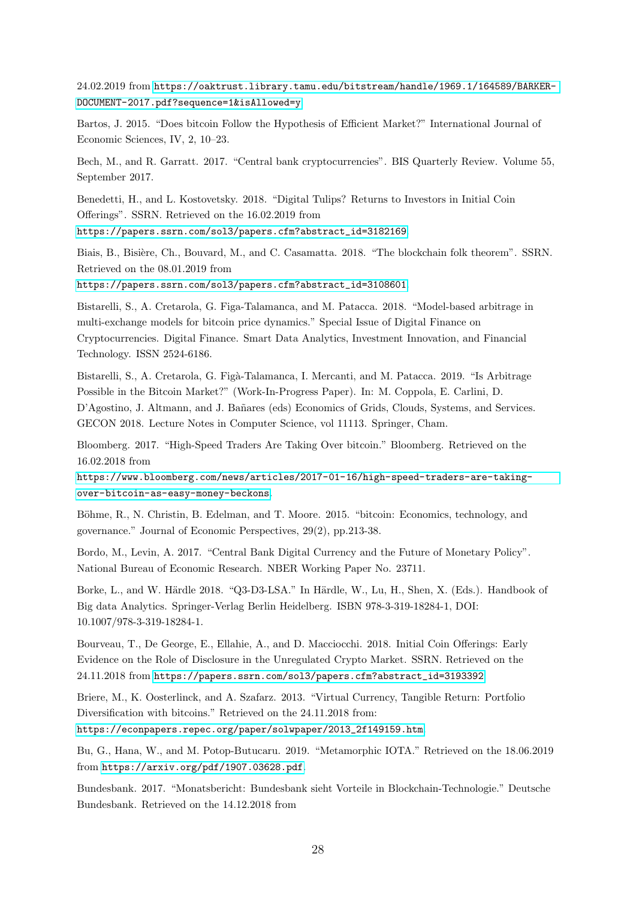24.02.2019 from [https://oaktrust.library.tamu.edu/bitstream/handle/1969.1/164589/BARKER-](https://oaktrust.library.tamu.edu/bitstream/handle/1969.1/164589/BARKER-DOCUMENT-2017.pdf?sequence=1&isAllowed=y)[DOCUMENT-2017.pdf?sequence=1&isAllowed=y](https://oaktrust.library.tamu.edu/bitstream/handle/1969.1/164589/BARKER-DOCUMENT-2017.pdf?sequence=1&isAllowed=y).

Bartos, J. 2015. "Does bitcoin Follow the Hypothesis of Efficient Market?" International Journal of Economic Sciences, IV, 2, 10–23.

Bech, M., and R. Garratt. 2017. "Central bank cryptocurrencies". BIS Quarterly Review. Volume 55, September 2017.

Benedetti, H., and L. Kostovetsky. 2018. "Digital Tulips? Returns to Investors in Initial Coin Offerings". SSRN. Retrieved on the 16.02.2019 from [https://papers.ssrn.com/sol3/papers.cfm?abstract\\_id=3182169](https://papers.ssrn.com/sol3/papers.cfm?abstract_id=3182169).

Biais, B., Bisière, Ch., Bouvard, M., and C. Casamatta. 2018. "The blockchain folk theorem". SSRN. Retrieved on the 08.01.2019 from

[https://papers.ssrn.com/sol3/papers.cfm?abstract\\_id=3108601](https://papers.ssrn.com/sol3/papers.cfm?abstract_id=3108601).

Bistarelli, S., A. Cretarola, G. Figa-Talamanca, and M. Patacca. 2018. "Model-based arbitrage in multi-exchange models for bitcoin price dynamics." Special Issue of Digital Finance on Cryptocurrencies. Digital Finance. Smart Data Analytics, Investment Innovation, and Financial Technology. ISSN 2524-6186.

Bistarelli, S., A. Cretarola, G. Figà-Talamanca, I. Mercanti, and M. Patacca. 2019. "Is Arbitrage Possible in the Bitcoin Market?" (Work-In-Progress Paper). In: M. Coppola, E. Carlini, D. D'Agostino, J. Altmann, and J. Bañares (eds) Economics of Grids, Clouds, Systems, and Services. GECON 2018. Lecture Notes in Computer Science, vol 11113. Springer, Cham.

Bloomberg. 2017. "High-Speed Traders Are Taking Over bitcoin." Bloomberg. Retrieved on the 16.02.2018 from

[https://www.bloomberg.com/news/articles/2017-01-16/high-speed-traders-are-taking](https://www.bloomberg.com/news/articles/2017-01-16/high-speed-traders-are-taking-over-bitcoin-as-easy-money-beckons)[over-bitcoin-as-easy-money-beckons](https://www.bloomberg.com/news/articles/2017-01-16/high-speed-traders-are-taking-over-bitcoin-as-easy-money-beckons).

Böhme, R., N. Christin, B. Edelman, and T. Moore. 2015. "bitcoin: Economics, technology, and governance." Journal of Economic Perspectives, 29(2), pp.213-38.

Bordo, M., Levin, A. 2017. "Central Bank Digital Currency and the Future of Monetary Policy". National Bureau of Economic Research. NBER Working Paper No. 23711.

Borke, L., and W. Härdle 2018. "Q3-D3-LSA." In Härdle, W., Lu, H., Shen, X. (Eds.). Handbook of Big data Analytics. Springer-Verlag Berlin Heidelberg. ISBN 978-3-319-18284-1, DOI: 10.1007/978-3-319-18284-1.

Bourveau, T., De George, E., Ellahie, A., and D. Macciocchi. 2018. Initial Coin Offerings: Early Evidence on the Role of Disclosure in the Unregulated Crypto Market. SSRN. Retrieved on the 24.11.2018 from [https://papers.ssrn.com/sol3/papers.cfm?abstract\\_id=3193392](https://papers.ssrn.com/sol3/papers.cfm?abstract_id=3193392).

Briere, M., K. Oosterlinck, and A. Szafarz. 2013. "Virtual Currency, Tangible Return: Portfolio Diversification with bitcoins." Retrieved on the 24.11.2018 from: [https://econpapers.repec.org/paper/solwpaper/2013\\_2f149159.htm](https://econpapers.repec.org/paper/solwpaper/2013_2f149159.htm).

Bu, G., Hana, W., and M. Potop-Butucaru. 2019. "Metamorphic IOTA." Retrieved on the 18.06.2019 from <https://arxiv.org/pdf/1907.03628.pdf>.

Bundesbank. 2017. "Monatsbericht: Bundesbank sieht Vorteile in Blockchain-Technologie." Deutsche Bundesbank. Retrieved on the 14.12.2018 from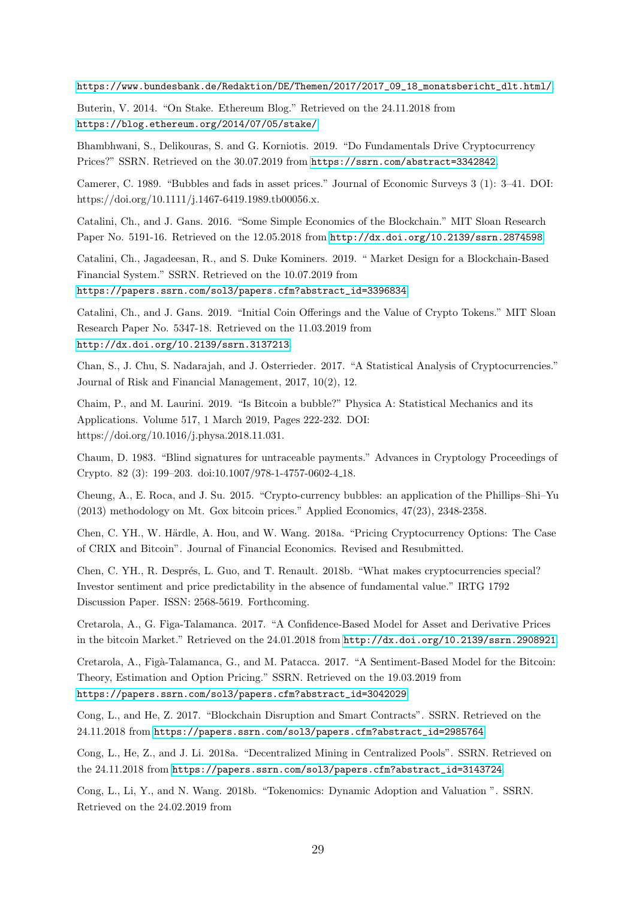[https://www.bundesbank.de/Redaktion/DE/Themen/2017/2017\\_09\\_18\\_monatsbericht\\_dlt.html/](https://www.bundesbank.de/Redaktion/DE/Themen/2017/2017_09_18_monatsbericht_dlt.html/).

Buterin, V. 2014. "On Stake. Ethereum Blog." Retrieved on the 24.11.2018 from <https://blog.ethereum.org/2014/07/05/stake/>.

Bhambhwani, S., Delikouras, S. and G. Korniotis. 2019. "Do Fundamentals Drive Cryptocurrency Prices?" SSRN. Retrieved on the 30.07.2019 from <https://ssrn.com/abstract=3342842>.

Camerer, C. 1989. "Bubbles and fads in asset prices." Journal of Economic Surveys 3 (1): 3–41. DOI: https://doi.org/10.1111/j.1467-6419.1989.tb00056.x.

Catalini, Ch., and J. Gans. 2016. "Some Simple Economics of the Blockchain." MIT Sloan Research Paper No. 5191-16. Retrieved on the 12.05.2018 from <http://dx.doi.org/10.2139/ssrn.2874598>.

Catalini, Ch., Jagadeesan, R., and S. Duke Kominers. 2019. " Market Design for a Blockchain-Based Financial System." SSRN. Retrieved on the 10.07.2019 from [https://papers.ssrn.com/sol3/papers.cfm?abstract\\_id=3396834](https://papers.ssrn.com/sol3/papers.cfm?abstract_id=3396834).

Catalini, Ch., and J. Gans. 2019. "Initial Coin Offerings and the Value of Crypto Tokens." MIT Sloan Research Paper No. 5347-18. Retrieved on the 11.03.2019 from <http://dx.doi.org/10.2139/ssrn.3137213>.

Chan, S., J. Chu, S. Nadarajah, and J. Osterrieder. 2017. "A Statistical Analysis of Cryptocurrencies." Journal of Risk and Financial Management, 2017, 10(2), 12.

Chaim, P., and M. Laurini. 2019. "Is Bitcoin a bubble?" Physica A: Statistical Mechanics and its Applications. Volume 517, 1 March 2019, Pages 222-232. DOI: https://doi.org/10.1016/j.physa.2018.11.031.

Chaum, D. 1983. "Blind signatures for untraceable payments." Advances in Cryptology Proceedings of Crypto. 82 (3): 199–203. doi:10.1007/978-1-4757-0602-4 18.

Cheung, A., E. Roca, and J. Su. 2015. "Crypto-currency bubbles: an application of the Phillips–Shi–Yu (2013) methodology on Mt. Gox bitcoin prices." Applied Economics, 47(23), 2348-2358.

Chen, C. YH., W. Härdle, A. Hou, and W. Wang. 2018a. "Pricing Cryptocurrency Options: The Case of CRIX and Bitcoin". Journal of Financial Economics. Revised and Resubmitted.

Chen, C. YH., R. Després, L. Guo, and T. Renault. 2018b. "What makes cryptocurrencies special? Investor sentiment and price predictability in the absence of fundamental value." IRTG 1792 Discussion Paper. ISSN: 2568-5619. Forthcoming.

Cretarola, A., G. Figa-Talamanca. 2017. "A Confidence-Based Model for Asset and Derivative Prices in the bitcoin Market." Retrieved on the 24.01.2018 from <http://dx.doi.org/10.2139/ssrn.2908921>.

Cretarola, A., Figà-Talamanca, G., and M. Patacca. 2017. "A Sentiment-Based Model for the Bitcoin: Theory, Estimation and Option Pricing." SSRN. Retrieved on the 19.03.2019 from [https://papers.ssrn.com/sol3/papers.cfm?abstract\\_id=3042029](https://papers.ssrn.com/sol3/papers.cfm?abstract_id=3042029).

Cong, L., and He, Z. 2017. "Blockchain Disruption and Smart Contracts". SSRN. Retrieved on the 24.11.2018 from [https://papers.ssrn.com/sol3/papers.cfm?abstract\\_id=2985764](https://papers.ssrn.com/sol3/papers.cfm?abstract_id=2985764).

Cong, L., He, Z., and J. Li. 2018a. "Decentralized Mining in Centralized Pools". SSRN. Retrieved on the 24.11.2018 from [https://papers.ssrn.com/sol3/papers.cfm?abstract\\_id=3143724](https://papers.ssrn.com/sol3/papers.cfm?abstract_id=3143724).

Cong, L., Li, Y., and N. Wang. 2018b. "Tokenomics: Dynamic Adoption and Valuation ". SSRN. Retrieved on the 24.02.2019 from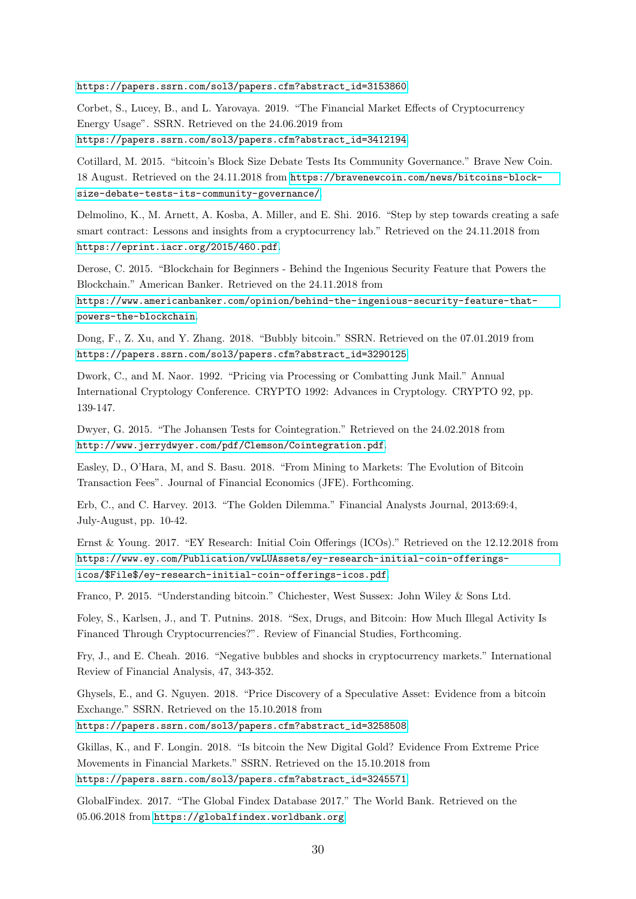[https://papers.ssrn.com/sol3/papers.cfm?abstract\\_id=3153860](https://papers.ssrn.com/sol3/papers.cfm?abstract_id=3153860).

Corbet, S., Lucey, B., and L. Yarovaya. 2019. "The Financial Market Effects of Cryptocurrency Energy Usage". SSRN. Retrieved on the 24.06.2019 from [https://papers.ssrn.com/sol3/papers.cfm?abstract\\_id=3412194](https://papers.ssrn.com/sol3/papers.cfm?abstract_id=3412194).

Cotillard, M. 2015. "bitcoin's Block Size Debate Tests Its Community Governance." Brave New Coin. 18 August. Retrieved on the 24.11.2018 from [https://bravenewcoin.com/news/bitcoins-block](https://bravenewcoin.com/news/bitcoins-block-size-debate-tests-its-community-governance/)[size-debate-tests-its-community-governance/](https://bravenewcoin.com/news/bitcoins-block-size-debate-tests-its-community-governance/).

Delmolino, K., M. Arnett, A. Kosba, A. Miller, and E. Shi. 2016. "Step by step towards creating a safe smart contract: Lessons and insights from a cryptocurrency lab." Retrieved on the 24.11.2018 from <https://eprint.iacr.org/2015/460.pdf>.

Derose, C. 2015. "Blockchain for Beginners - Behind the Ingenious Security Feature that Powers the Blockchain." American Banker. Retrieved on the 24.11.2018 from

[https://www.americanbanker.com/opinion/behind-the-ingenious-security-feature-that](https://www.americanbanker.com/opinion/behind-the-ingenious-security-feature-that-powers-the-blockchain)[powers-the-blockchain](https://www.americanbanker.com/opinion/behind-the-ingenious-security-feature-that-powers-the-blockchain).

Dong, F., Z. Xu, and Y. Zhang. 2018. "Bubbly bitcoin." SSRN. Retrieved on the 07.01.2019 from [https://papers.ssrn.com/sol3/papers.cfm?abstract\\_id=3290125](https://papers.ssrn.com/sol3/papers.cfm?abstract_id=3290125).

Dwork, C., and M. Naor. 1992. "Pricing via Processing or Combatting Junk Mail." Annual International Cryptology Conference. CRYPTO 1992: Advances in Cryptology. CRYPTO 92, pp. 139-147.

Dwyer, G. 2015. "The Johansen Tests for Cointegration." Retrieved on the 24.02.2018 from <http://www.jerrydwyer.com/pdf/Clemson/Cointegration.pdf>.

Easley, D., O'Hara, M, and S. Basu. 2018. "From Mining to Markets: The Evolution of Bitcoin Transaction Fees". Journal of Financial Economics (JFE). Forthcoming.

Erb, C., and C. Harvey. 2013. "The Golden Dilemma." Financial Analysts Journal, 2013:69:4, July-August, pp. 10-42.

Ernst & Young. 2017. "EY Research: Initial Coin Offerings (ICOs)." Retrieved on the 12.12.2018 from [https://www.ey.com/Publication/vwLUAssets/ey-research-initial-coin-offerings](https://www.ey.com/Publication/vwLUAssets/ey-research-initial-coin-offerings-icos/$File$/ey-research-initial-coin-offerings-icos.pdf)[icos/\\$File\\$/ey-research-initial-coin-offerings-icos.pdf](https://www.ey.com/Publication/vwLUAssets/ey-research-initial-coin-offerings-icos/$File$/ey-research-initial-coin-offerings-icos.pdf).

Franco, P. 2015. "Understanding bitcoin." Chichester, West Sussex: John Wiley & Sons Ltd.

Foley, S., Karlsen, J., and T. Putnins. 2018. "Sex, Drugs, and Bitcoin: How Much Illegal Activity Is Financed Through Cryptocurrencies?". Review of Financial Studies, Forthcoming.

Fry, J., and E. Cheah. 2016. "Negative bubbles and shocks in cryptocurrency markets." International Review of Financial Analysis, 47, 343-352.

Ghysels, E., and G. Nguyen. 2018. "Price Discovery of a Speculative Asset: Evidence from a bitcoin Exchange." SSRN. Retrieved on the 15.10.2018 from

[https://papers.ssrn.com/sol3/papers.cfm?abstract\\_id=3258508](https://papers.ssrn.com/sol3/papers.cfm?abstract_id=3258508).

Gkillas, K., and F. Longin. 2018. "Is bitcoin the New Digital Gold? Evidence From Extreme Price Movements in Financial Markets." SSRN. Retrieved on the 15.10.2018 from [https://papers.ssrn.com/sol3/papers.cfm?abstract\\_id=3245571](https://papers.ssrn.com/sol3/papers.cfm?abstract_id=3245571).

GlobalFindex. 2017. "The Global Findex Database 2017." The World Bank. Retrieved on the 05.06.2018 from <https://globalfindex.worldbank.org>.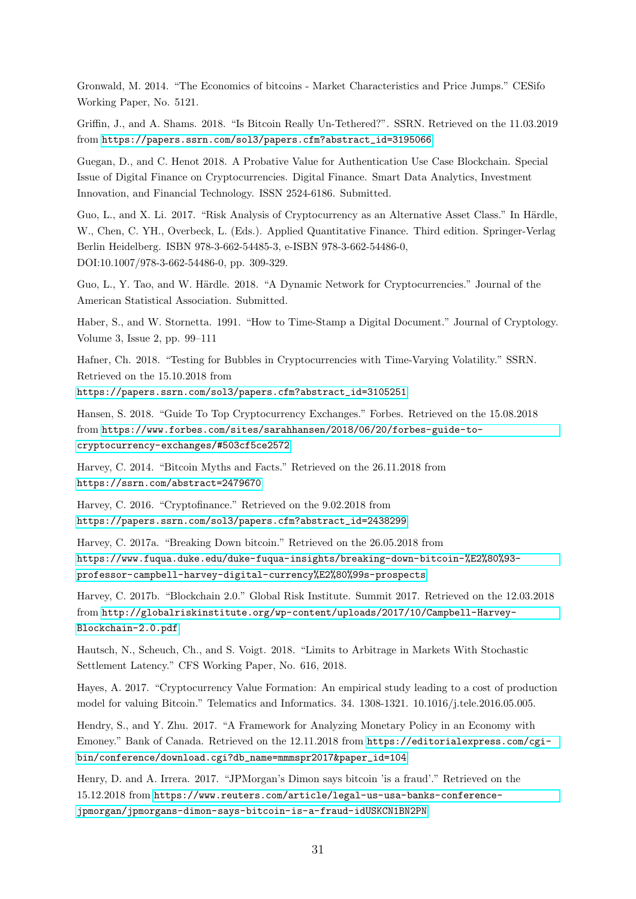Gronwald, M. 2014. "The Economics of bitcoins - Market Characteristics and Price Jumps." CESifo Working Paper, No. 5121.

Griffin, J., and A. Shams. 2018. "Is Bitcoin Really Un-Tethered?". SSRN. Retrieved on the 11.03.2019 from [https://papers.ssrn.com/sol3/papers.cfm?abstract\\_id=3195066](https://papers.ssrn.com/sol3/papers.cfm?abstract_id=3195066).

Guegan, D., and C. Henot 2018. A Probative Value for Authentication Use Case Blockchain. Special Issue of Digital Finance on Cryptocurrencies. Digital Finance. Smart Data Analytics, Investment Innovation, and Financial Technology. ISSN 2524-6186. Submitted.

Guo, L., and X. Li. 2017. "Risk Analysis of Cryptocurrency as an Alternative Asset Class." In Härdle, W., Chen, C. YH., Overbeck, L. (Eds.). Applied Quantitative Finance. Third edition. Springer-Verlag Berlin Heidelberg. ISBN 978-3-662-54485-3, e-ISBN 978-3-662-54486-0, DOI:10.1007/978-3-662-54486-0, pp. 309-329.

Guo, L., Y. Tao, and W. Härdle. 2018. "A Dynamic Network for Cryptocurrencies." Journal of the American Statistical Association. Submitted.

Haber, S., and W. Stornetta. 1991. "How to Time-Stamp a Digital Document." Journal of Cryptology. Volume 3, Issue 2, pp. 99–111

Hafner, Ch. 2018. "Testing for Bubbles in Cryptocurrencies with Time-Varying Volatility." SSRN. Retrieved on the 15.10.2018 from

[https://papers.ssrn.com/sol3/papers.cfm?abstract\\_id=3105251](https://papers.ssrn.com/sol3/papers.cfm?abstract_id=3105251)

Hansen, S. 2018. "Guide To Top Cryptocurrency Exchanges." Forbes. Retrieved on the 15.08.2018 from [https://www.forbes.com/sites/sarahhansen/2018/06/20/forbes-guide-to](https://www.forbes.com/sites/sarahhansen/2018/06/20/forbes-guide-to-cryptocurrency-exchanges/#503cf5ce2572)[cryptocurrency-exchanges/#503cf5ce2572](https://www.forbes.com/sites/sarahhansen/2018/06/20/forbes-guide-to-cryptocurrency-exchanges/#503cf5ce2572)

Harvey, C. 2014. "Bitcoin Myths and Facts." Retrieved on the 26.11.2018 from <https://ssrn.com/abstract=2479670>

Harvey, C. 2016. "Cryptofinance." Retrieved on the 9.02.2018 from

[https://papers.ssrn.com/sol3/papers.cfm?abstract\\_id=2438299](https://papers.ssrn.com/sol3/papers.cfm?abstract_id=2438299)

Harvey, C. 2017a. "Breaking Down bitcoin." Retrieved on the 26.05.2018 from [https://www.fuqua.duke.edu/duke-fuqua-insights/breaking-down-bitcoin-%E2%80%93](https://www.fuqua.duke.edu/duke-fuqua-insights/breaking-down-bitcoin-%E2%80%93-professor-campbell-harvey-digital-currency%E2%80%99s-prospects) [professor-campbell-harvey-digital-currency%E2%80%99s-prospects](https://www.fuqua.duke.edu/duke-fuqua-insights/breaking-down-bitcoin-%E2%80%93-professor-campbell-harvey-digital-currency%E2%80%99s-prospects)

Harvey, C. 2017b. "Blockchain 2.0." Global Risk Institute. Summit 2017. Retrieved on the 12.03.2018 from [http://globalriskinstitute.org/wp-content/uploads/2017/10/Campbell-Harvey-](http://globalriskinstitute.org/wp-content/uploads/2017/10/Campbell-Harvey-Blockchain-2.0.pdf)[Blockchain-2.0.pdf](http://globalriskinstitute.org/wp-content/uploads/2017/10/Campbell-Harvey-Blockchain-2.0.pdf)

Hautsch, N., Scheuch, Ch., and S. Voigt. 2018. "Limits to Arbitrage in Markets With Stochastic Settlement Latency." CFS Working Paper, No. 616, 2018.

Hayes, A. 2017. "Cryptocurrency Value Formation: An empirical study leading to a cost of production model for valuing Bitcoin." Telematics and Informatics. 34. 1308-1321. 10.1016/j.tele.2016.05.005.

Hendry, S., and Y. Zhu. 2017. "A Framework for Analyzing Monetary Policy in an Economy with Emoney." Bank of Canada. Retrieved on the 12.11.2018 from [https://editorialexpress.com/cgi](https://editorialexpress.com/cgi-bin/conference/download.cgi?db_name=mmmspr2017&paper_id=104)[bin/conference/download.cgi?db\\_name=mmmspr2017&paper\\_id=104](https://editorialexpress.com/cgi-bin/conference/download.cgi?db_name=mmmspr2017&paper_id=104)

Henry, D. and A. Irrera. 2017. "JPMorgan's Dimon says bitcoin 'is a fraud'." Retrieved on the 15.12.2018 from [https://www.reuters.com/article/legal-us-usa-banks-conference](https://www.reuters.com/article/legal-us-usa-banks-conference-jpmorgan/jpmorgans-dimon-says-bitcoin-is-a-fraud-idUSKCN1BN2PN)[jpmorgan/jpmorgans-dimon-says-bitcoin-is-a-fraud-idUSKCN1BN2PN](https://www.reuters.com/article/legal-us-usa-banks-conference-jpmorgan/jpmorgans-dimon-says-bitcoin-is-a-fraud-idUSKCN1BN2PN)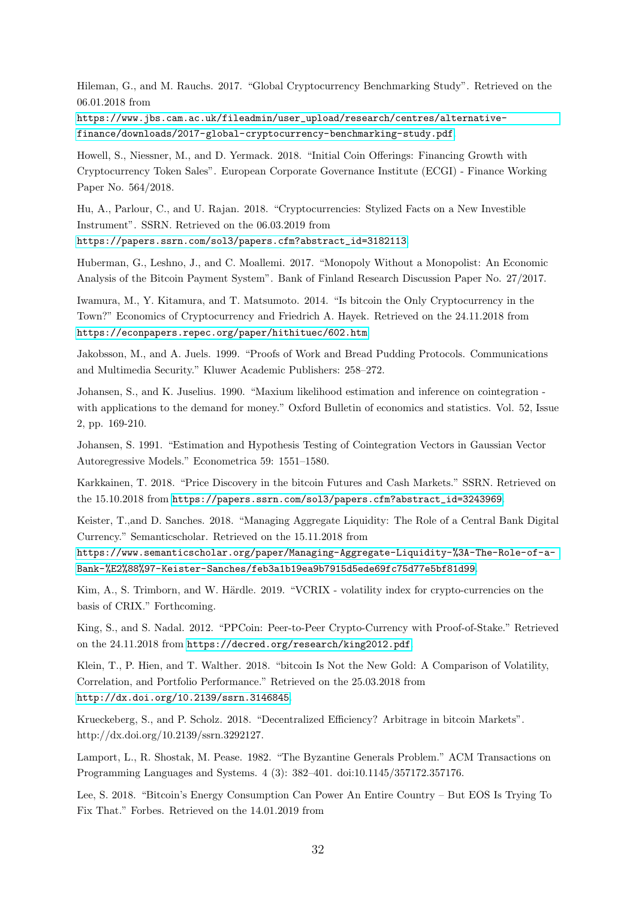Hileman, G., and M. Rauchs. 2017. "Global Cryptocurrency Benchmarking Study". Retrieved on the 06.01.2018 from

[https://www.jbs.cam.ac.uk/fileadmin/user\\_upload/research/centres/alternative](https://www.jbs.cam.ac.uk/fileadmin/user_upload/research/centres/alternative-finance/downloads/2017-global-cryptocurrency-benchmarking-study.pdf)[finance/downloads/2017-global-cryptocurrency-benchmarking-study.pdf](https://www.jbs.cam.ac.uk/fileadmin/user_upload/research/centres/alternative-finance/downloads/2017-global-cryptocurrency-benchmarking-study.pdf).

Howell, S., Niessner, M., and D. Yermack. 2018. "Initial Coin Offerings: Financing Growth with Cryptocurrency Token Sales". European Corporate Governance Institute (ECGI) - Finance Working Paper No. 564/2018.

Hu, A., Parlour, C., and U. Rajan. 2018. "Cryptocurrencies: Stylized Facts on a New Investible Instrument". SSRN. Retrieved on the 06.03.2019 from [https://papers.ssrn.com/sol3/papers.cfm?abstract\\_id=3182113](https://papers.ssrn.com/sol3/papers.cfm?abstract_id=3182113).

Huberman, G., Leshno, J., and C. Moallemi. 2017. "Monopoly Without a Monopolist: An Economic Analysis of the Bitcoin Payment System". Bank of Finland Research Discussion Paper No. 27/2017.

Iwamura, M., Y. Kitamura, and T. Matsumoto. 2014. "Is bitcoin the Only Cryptocurrency in the Town?" Economics of Cryptocurrency and Friedrich A. Hayek. Retrieved on the 24.11.2018 from <https://econpapers.repec.org/paper/hithituec/602.htm>.

Jakobsson, M., and A. Juels. 1999. "Proofs of Work and Bread Pudding Protocols. Communications and Multimedia Security." Kluwer Academic Publishers: 258–272.

Johansen, S., and K. Juselius. 1990. "Maxium likelihood estimation and inference on cointegration with applications to the demand for money." Oxford Bulletin of economics and statistics. Vol. 52, Issue 2, pp. 169-210.

Johansen, S. 1991. "Estimation and Hypothesis Testing of Cointegration Vectors in Gaussian Vector Autoregressive Models." Econometrica 59: 1551–1580.

Karkkainen, T. 2018. "Price Discovery in the bitcoin Futures and Cash Markets." SSRN. Retrieved on the 15.10.2018 from [https://papers.ssrn.com/sol3/papers.cfm?abstract\\_id=3243969](https://papers.ssrn.com/sol3/papers.cfm?abstract_id=3243969).

Keister, T.,and D. Sanches. 2018. "Managing Aggregate Liquidity: The Role of a Central Bank Digital Currency." Semanticscholar. Retrieved on the 15.11.2018 from

[https://www.semanticscholar.org/paper/Managing-Aggregate-Liquidity-%3A-The-Role-of-a-](https://www.semanticscholar.org/paper/Managing-Aggregate-Liquidity-%3A-The-Role-of-a-Bank-%E2%88%97-Keister-Sanches/feb3a1b19ea9b7915d5ede69fc75d77e5bf81d99)[Bank-%E2%88%97-Keister-Sanches/feb3a1b19ea9b7915d5ede69fc75d77e5bf81d99](https://www.semanticscholar.org/paper/Managing-Aggregate-Liquidity-%3A-The-Role-of-a-Bank-%E2%88%97-Keister-Sanches/feb3a1b19ea9b7915d5ede69fc75d77e5bf81d99).

Kim, A., S. Trimborn, and W. Härdle. 2019. "VCRIX - volatility index for crypto-currencies on the basis of CRIX." Forthcoming.

King, S., and S. Nadal. 2012. "PPCoin: Peer-to-Peer Crypto-Currency with Proof-of-Stake." Retrieved on the 24.11.2018 from <https://decred.org/research/king2012.pdf>.

Klein, T., P. Hien, and T. Walther. 2018. "bitcoin Is Not the New Gold: A Comparison of Volatility, Correlation, and Portfolio Performance." Retrieved on the 25.03.2018 from <http://dx.doi.org/10.2139/ssrn.3146845>.

Krueckeberg, S., and P. Scholz. 2018. "Decentralized Efficiency? Arbitrage in bitcoin Markets". http://dx.doi.org/10.2139/ssrn.3292127.

Lamport, L., R. Shostak, M. Pease. 1982. "The Byzantine Generals Problem." ACM Transactions on Programming Languages and Systems. 4 (3): 382–401. doi:10.1145/357172.357176.

Lee, S. 2018. "Bitcoin's Energy Consumption Can Power An Entire Country – But EOS Is Trying To Fix That." Forbes. Retrieved on the 14.01.2019 from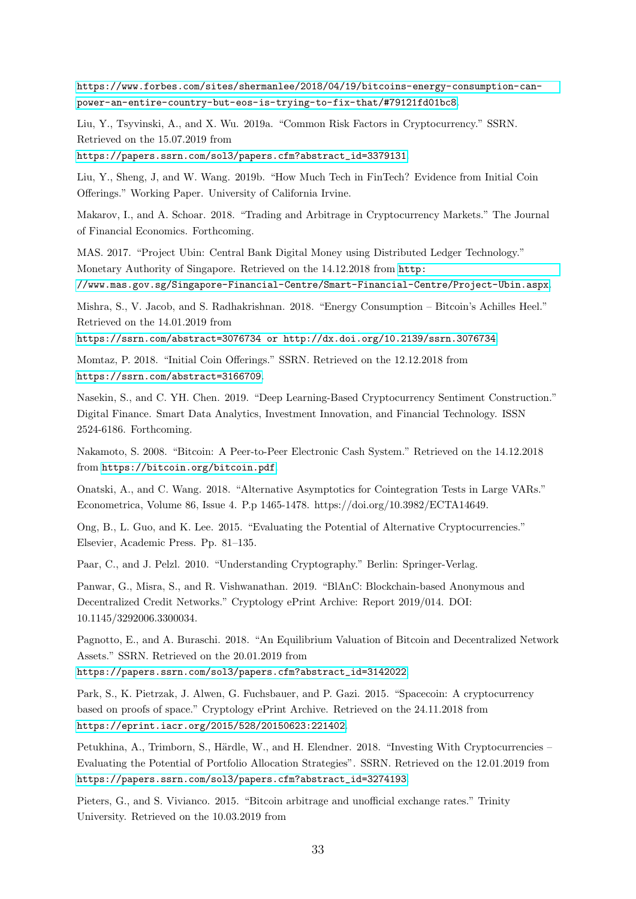[https://www.forbes.com/sites/shermanlee/2018/04/19/bitcoins-energy-consumption-can](https://www.forbes.com/sites/shermanlee/2018/04/19/bitcoins-energy-consumption-can-power-an-entire-country-but-eos-is-trying-to-fix-that/#79121fd01bc8)[power-an-entire-country-but-eos-is-trying-to-fix-that/#79121fd01bc8](https://www.forbes.com/sites/shermanlee/2018/04/19/bitcoins-energy-consumption-can-power-an-entire-country-but-eos-is-trying-to-fix-that/#79121fd01bc8).

Liu, Y., Tsyvinski, A., and X. Wu. 2019a. "Common Risk Factors in Cryptocurrency." SSRN. Retrieved on the 15.07.2019 from

[https://papers.ssrn.com/sol3/papers.cfm?abstract\\_id=3379131](https://papers.ssrn.com/sol3/papers.cfm?abstract_id=3379131).

Liu, Y., Sheng, J, and W. Wang. 2019b. "How Much Tech in FinTech? Evidence from Initial Coin Offerings." Working Paper. University of California Irvine.

Makarov, I., and A. Schoar. 2018. "Trading and Arbitrage in Cryptocurrency Markets." The Journal of Financial Economics. Forthcoming.

MAS. 2017. "Project Ubin: Central Bank Digital Money using Distributed Ledger Technology." Monetary Authority of Singapore. Retrieved on the 14.12.2018 from [http:](http://www.mas.gov.sg/Singapore-Financial-Centre/Smart-Financial-Centre/Project-Ubin.aspx)

[//www.mas.gov.sg/Singapore-Financial-Centre/Smart-Financial-Centre/Project-Ubin.aspx](http://www.mas.gov.sg/Singapore-Financial-Centre/Smart-Financial-Centre/Project-Ubin.aspx).

Mishra, S., V. Jacob, and S. Radhakrishnan. 2018. "Energy Consumption – Bitcoin's Achilles Heel." Retrieved on the 14.01.2019 from

<https://ssrn.com/abstract=3076734 or http://dx.doi.org/10.2139/ssrn.3076734>.

Momtaz, P. 2018. "Initial Coin Offerings." SSRN. Retrieved on the 12.12.2018 from <https://ssrn.com/abstract=3166709>.

Nasekin, S., and C. YH. Chen. 2019. "Deep Learning-Based Cryptocurrency Sentiment Construction." Digital Finance. Smart Data Analytics, Investment Innovation, and Financial Technology. ISSN 2524-6186. Forthcoming.

Nakamoto, S. 2008. "Bitcoin: A Peer-to-Peer Electronic Cash System." Retrieved on the 14.12.2018 from <https://bitcoin.org/bitcoin.pdf>.

Onatski, A., and C. Wang. 2018. "Alternative Asymptotics for Cointegration Tests in Large VARs." Econometrica, Volume 86, Issue 4. P.p 1465-1478. https://doi.org/10.3982/ECTA14649.

Ong, B., L. Guo, and K. Lee. 2015. "Evaluating the Potential of Alternative Cryptocurrencies." Elsevier, Academic Press. Pp. 81–135.

Paar, C., and J. Pelzl. 2010. "Understanding Cryptography." Berlin: Springer-Verlag.

Panwar, G., Misra, S., and R. Vishwanathan. 2019. "BlAnC: Blockchain-based Anonymous and Decentralized Credit Networks." Cryptology ePrint Archive: Report 2019/014. DOI: 10.1145/3292006.3300034.

Pagnotto, E., and A. Buraschi. 2018. "An Equilibrium Valuation of Bitcoin and Decentralized Network Assets." SSRN. Retrieved on the 20.01.2019 from

[https://papers.ssrn.com/sol3/papers.cfm?abstract\\_id=3142022](https://papers.ssrn.com/sol3/papers.cfm?abstract_id=3142022).

Park, S., K. Pietrzak, J. Alwen, G. Fuchsbauer, and P. Gazi. 2015. "Spacecoin: A cryptocurrency based on proofs of space." Cryptology ePrint Archive. Retrieved on the 24.11.2018 from <https://eprint.iacr.org/2015/528/20150623:221402>.

Petukhina, A., Trimborn, S., Härdle, W., and H. Elendner. 2018. "Investing With Cryptocurrencies – Evaluating the Potential of Portfolio Allocation Strategies". SSRN. Retrieved on the 12.01.2019 from [https://papers.ssrn.com/sol3/papers.cfm?abstract\\_id=3274193](https://papers.ssrn.com/sol3/papers.cfm?abstract_id=3274193).

Pieters, G., and S. Vivianco. 2015. "Bitcoin arbitrage and unofficial exchange rates." Trinity University. Retrieved on the 10.03.2019 from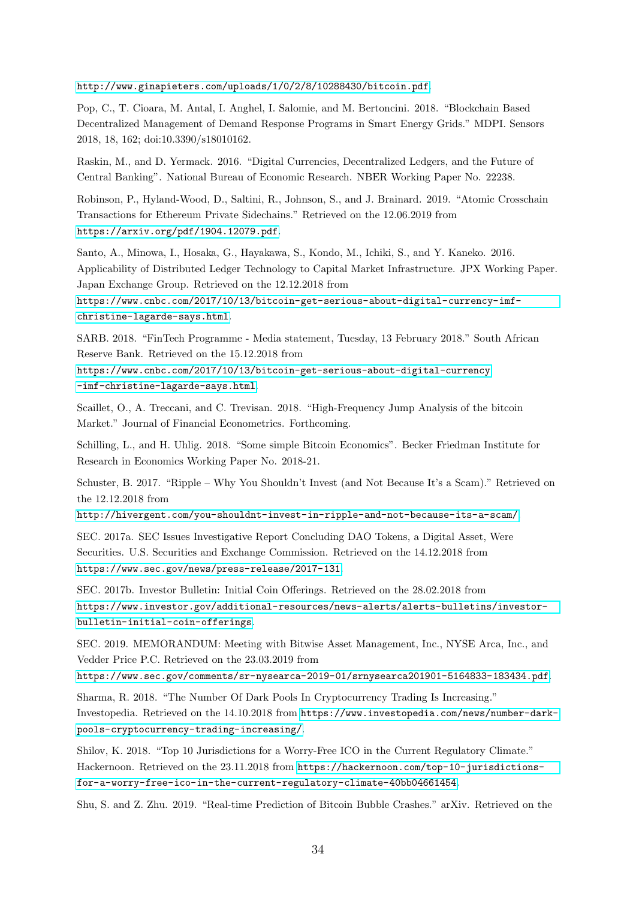<http://www.ginapieters.com/uploads/1/0/2/8/10288430/bitcoin.pdf>.

Pop, C., T. Cioara, M. Antal, I. Anghel, I. Salomie, and M. Bertoncini. 2018. "Blockchain Based Decentralized Management of Demand Response Programs in Smart Energy Grids." MDPI. Sensors 2018, 18, 162; doi:10.3390/s18010162.

Raskin, M., and D. Yermack. 2016. "Digital Currencies, Decentralized Ledgers, and the Future of Central Banking". National Bureau of Economic Research. NBER Working Paper No. 22238.

Robinson, P., Hyland-Wood, D., Saltini, R., Johnson, S., and J. Brainard. 2019. "Atomic Crosschain Transactions for Ethereum Private Sidechains." Retrieved on the 12.06.2019 from <https://arxiv.org/pdf/1904.12079.pdf>.

Santo, A., Minowa, I., Hosaka, G., Hayakawa, S., Kondo, M., Ichiki, S., and Y. Kaneko. 2016. Applicability of Distributed Ledger Technology to Capital Market Infrastructure. JPX Working Paper. Japan Exchange Group. Retrieved on the 12.12.2018 from

[https://www.cnbc.com/2017/10/13/bitcoin-get-serious-about-digital-currency-imf](https://www.cnbc.com/2017/10/13/bitcoin-get-serious-about-digital-currency-imf-christine-lagarde-says.html)[christine-lagarde-says.html](https://www.cnbc.com/2017/10/13/bitcoin-get-serious-about-digital-currency-imf-christine-lagarde-says.html).

SARB. 2018. "FinTech Programme - Media statement, Tuesday, 13 February 2018." South African Reserve Bank. Retrieved on the 15.12.2018 from

[https://www.cnbc.com/2017/10/13/bitcoin-get-serious-about-digital-currency](https://www.cnbc.com/2017/10/13/bitcoin-get-serious-about-digital-currency-imf-christine-lagarde-says.html) [-imf-christine-lagarde-says.html](https://www.cnbc.com/2017/10/13/bitcoin-get-serious-about-digital-currency-imf-christine-lagarde-says.html).

Scaillet, O., A. Treccani, and C. Trevisan. 2018. "High-Frequency Jump Analysis of the bitcoin Market." Journal of Financial Econometrics. Forthcoming.

Schilling, L., and H. Uhlig. 2018. "Some simple Bitcoin Economics". Becker Friedman Institute for Research in Economics Working Paper No. 2018-21.

Schuster, B. 2017. "Ripple – Why You Shouldn't Invest (and Not Because It's a Scam)." Retrieved on the 12.12.2018 from

<http://hivergent.com/you-shouldnt-invest-in-ripple-and-not-because-its-a-scam/>.

SEC. 2017a. SEC Issues Investigative Report Concluding DAO Tokens, a Digital Asset, Were Securities. U.S. Securities and Exchange Commission. Retrieved on the 14.12.2018 from <https://www.sec.gov/news/press-release/2017-131>.

SEC. 2017b. Investor Bulletin: Initial Coin Offerings. Retrieved on the 28.02.2018 from [https://www.investor.gov/additional-resources/news-alerts/alerts-bulletins/investor](https://www.investor.gov/additional-resources/news-alerts/alerts-bulletins/investor-bulletin-initial-coin-offerings)[bulletin-initial-coin-offerings](https://www.investor.gov/additional-resources/news-alerts/alerts-bulletins/investor-bulletin-initial-coin-offerings).

SEC. 2019. MEMORANDUM: Meeting with Bitwise Asset Management, Inc., NYSE Arca, Inc., and Vedder Price P.C. Retrieved on the 23.03.2019 from

<https://www.sec.gov/comments/sr-nysearca-2019-01/srnysearca201901-5164833-183434.pdf>.

Sharma, R. 2018. "The Number Of Dark Pools In Cryptocurrency Trading Is Increasing." Investopedia. Retrieved on the 14.10.2018 from [https://www.investopedia.com/news/number-dark](https://www.investopedia.com/news/number-dark-pools-cryptocurrency-trading-increasing/)[pools-cryptocurrency-trading-increasing/](https://www.investopedia.com/news/number-dark-pools-cryptocurrency-trading-increasing/).

Shilov, K. 2018. "Top 10 Jurisdictions for a Worry-Free ICO in the Current Regulatory Climate." Hackernoon. Retrieved on the 23.11.2018 from [https://hackernoon.com/top-10-jurisdictions](https://hackernoon.com/top-10-jurisdictions-for-a-worry-free-ico-in-the-current-regulatory-climate-40bb04661454)[for-a-worry-free-ico-in-the-current-regulatory-climate-40bb04661454](https://hackernoon.com/top-10-jurisdictions-for-a-worry-free-ico-in-the-current-regulatory-climate-40bb04661454).

Shu, S. and Z. Zhu. 2019. "Real-time Prediction of Bitcoin Bubble Crashes." arXiv. Retrieved on the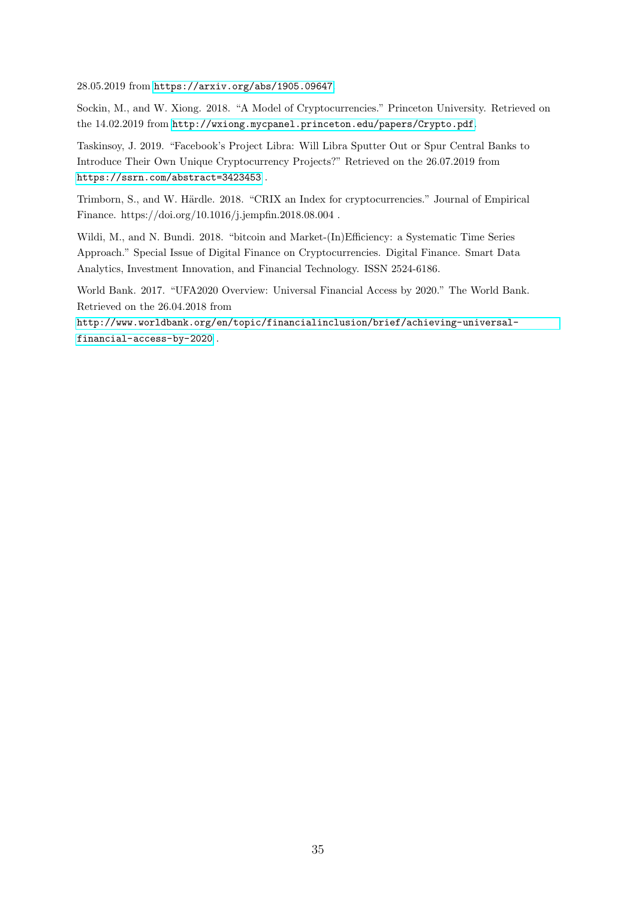28.05.2019 from <https://arxiv.org/abs/1905.09647>.

Sockin, M., and W. Xiong. 2018. "A Model of Cryptocurrencies." Princeton University. Retrieved on the 14.02.2019 from <http://wxiong.mycpanel.princeton.edu/papers/Crypto.pdf>.

Taskinsoy, J. 2019. "Facebook's Project Libra: Will Libra Sputter Out or Spur Central Banks to Introduce Their Own Unique Cryptocurrency Projects?" Retrieved on the 26.07.2019 from <https://ssrn.com/abstract=3423453> .

Trimborn, S., and W. Härdle. 2018. "CRIX an Index for cryptocurrencies." Journal of Empirical Finance. https://doi.org/10.1016/j.jempfin.2018.08.004 .

Wildi, M., and N. Bundi. 2018. "bitcoin and Market-(In)Efficiency: a Systematic Time Series Approach." Special Issue of Digital Finance on Cryptocurrencies. Digital Finance. Smart Data Analytics, Investment Innovation, and Financial Technology. ISSN 2524-6186.

World Bank. 2017. "UFA2020 Overview: Universal Financial Access by 2020." The World Bank. Retrieved on the 26.04.2018 from

[http://www.worldbank.org/en/topic/financialinclusion/brief/achieving-universal](http://www.worldbank.org/en/topic/financialinclusion/brief/achieving-universal-financial-access-by-2020)[financial-access-by-2020](http://www.worldbank.org/en/topic/financialinclusion/brief/achieving-universal-financial-access-by-2020) .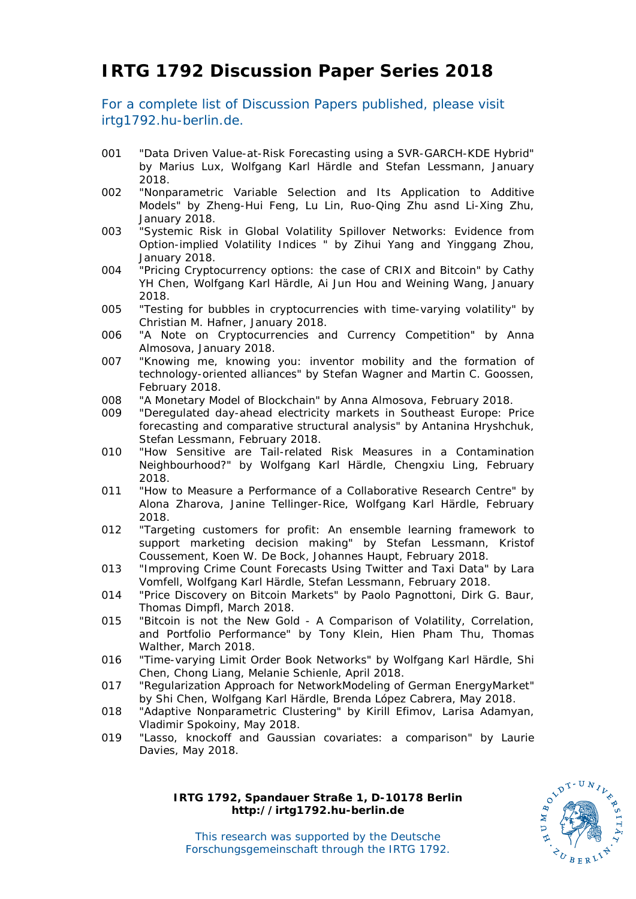# **IRTG 1792 Discussion Paper Series 2018**

For a complete list of Discussion Papers published, please visit irtg1792.hu-berlin.de.

- 001 "Data Driven Value-at-Risk Forecasting using a SVR-GARCH-KDE Hybrid" by Marius Lux, Wolfgang Karl Härdle and Stefan Lessmann, January 2018.
- 002 "Nonparametric Variable Selection and Its Application to Additive Models" by Zheng-Hui Feng, Lu Lin, Ruo-Qing Zhu asnd Li-Xing Zhu, January 2018.
- 003 "Systemic Risk in Global Volatility Spillover Networks: Evidence from Option-implied Volatility Indices " by Zihui Yang and Yinggang Zhou, January 2018.
- 004 "Pricing Cryptocurrency options: the case of CRIX and Bitcoin" by Cathy YH Chen, Wolfgang Karl Härdle, Ai Jun Hou and Weining Wang, January 2018.
- 005 "Testing for bubbles in cryptocurrencies with time-varying volatility" by Christian M. Hafner, January 2018.
- 006 "A Note on Cryptocurrencies and Currency Competition" by Anna Almosova, January 2018.
- 007 "Knowing me, knowing you: inventor mobility and the formation of technology-oriented alliances" by Stefan Wagner and Martin C. Goossen, February 2018.
- 008 "A Monetary Model of Blockchain" by Anna Almosova, February 2018.
- 009 "Deregulated day-ahead electricity markets in Southeast Europe: Price forecasting and comparative structural analysis" by Antanina Hryshchuk, Stefan Lessmann, February 2018.
- 010 "How Sensitive are Tail-related Risk Measures in a Contamination Neighbourhood?" by Wolfgang Karl Härdle, Chengxiu Ling, February 2018.
- 011 "How to Measure a Performance of a Collaborative Research Centre" by Alona Zharova, Janine Tellinger-Rice, Wolfgang Karl Härdle, February 2018.
- 012 "Targeting customers for profit: An ensemble learning framework to support marketing decision making" by Stefan Lessmann, Kristof Coussement, Koen W. De Bock, Johannes Haupt, February 2018.
- 013 "Improving Crime Count Forecasts Using Twitter and Taxi Data" by Lara Vomfell, Wolfgang Karl Härdle, Stefan Lessmann, February 2018.
- 014 "Price Discovery on Bitcoin Markets" by Paolo Pagnottoni, Dirk G. Baur, Thomas Dimpfl, March 2018.
- 015 "Bitcoin is not the New Gold A Comparison of Volatility, Correlation, and Portfolio Performance" by Tony Klein, Hien Pham Thu, Thomas Walther, March 2018.
- 016 "Time-varying Limit Order Book Networks" by Wolfgang Karl Härdle, Shi Chen, Chong Liang, Melanie Schienle, April 2018.
- 017 "Regularization Approach for NetworkModeling of German EnergyMarket" by Shi Chen, Wolfgang Karl Härdle, Brenda López Cabrera, May 2018.
- 018 "Adaptive Nonparametric Clustering" by Kirill Efimov, Larisa Adamyan, Vladimir Spokoiny, May 2018.
- 019 "Lasso, knockoff and Gaussian covariates: a comparison" by Laurie Davies, May 2018.

**IRTG 1792, Spandauer Straße 1, D-10178 Berlin http://irtg1792.hu-berlin.de**



This research was supported by the Deutsche Forschungsgemeinschaft through the IRTG 1792.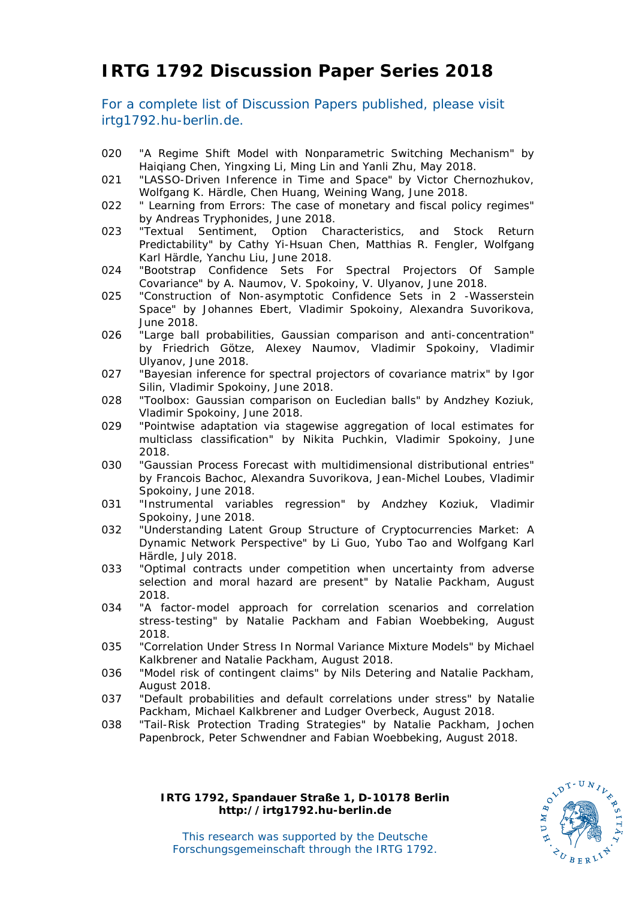# **IRTG 1792 Discussion Paper Series 2018**

For a complete list of Discussion Papers published, please visit irtg1792.hu-berlin.de.

- 020 "A Regime Shift Model with Nonparametric Switching Mechanism" by Haiqiang Chen, Yingxing Li, Ming Lin and Yanli Zhu, May 2018.
- 021 "LASSO-Driven Inference in Time and Space" by Victor Chernozhukov, Wolfgang K. Härdle, Chen Huang, Weining Wang, June 2018.
- 022 " Learning from Errors: The case of monetary and fiscal policy regimes" by Andreas Tryphonides, June 2018.
- 023 "Textual Sentiment, Option Characteristics, and Stock Return Predictability" by Cathy Yi-Hsuan Chen, Matthias R. Fengler, Wolfgang Karl Härdle, Yanchu Liu, June 2018.
- 024 "Bootstrap Confidence Sets For Spectral Projectors Of Sample Covariance" by A. Naumov, V. Spokoiny, V. Ulyanov, June 2018.
- 025 "Construction of Non-asymptotic Confidence Sets in 2 -Wasserstein Space" by Johannes Ebert, Vladimir Spokoiny, Alexandra Suvorikova, June 2018.
- 026 "Large ball probabilities, Gaussian comparison and anti-concentration" by Friedrich Götze, Alexey Naumov, Vladimir Spokoiny, Vladimir Ulyanov, June 2018.
- 027 "Bayesian inference for spectral projectors of covariance matrix" by Igor Silin, Vladimir Spokoiny, June 2018.
- 028 "Toolbox: Gaussian comparison on Eucledian balls" by Andzhey Koziuk, Vladimir Spokoiny, June 2018.
- 029 "Pointwise adaptation via stagewise aggregation of local estimates for multiclass classification" by Nikita Puchkin, Vladimir Spokoiny, June 2018.
- 030 "Gaussian Process Forecast with multidimensional distributional entries" by Francois Bachoc, Alexandra Suvorikova, Jean-Michel Loubes, Vladimir Spokoiny, June 2018.
- 031 "Instrumental variables regression" by Andzhey Koziuk, Vladimir Spokoiny, June 2018.
- 032 "Understanding Latent Group Structure of Cryptocurrencies Market: A Dynamic Network Perspective" by Li Guo, Yubo Tao and Wolfgang Karl Härdle, July 2018.
- 033 "Optimal contracts under competition when uncertainty from adverse selection and moral hazard are present" by Natalie Packham, August 2018.
- 034 "A factor-model approach for correlation scenarios and correlation stress-testing" by Natalie Packham and Fabian Woebbeking, August 2018.
- 035 "Correlation Under Stress In Normal Variance Mixture Models" by Michael Kalkbrener and Natalie Packham, August 2018.
- 036 "Model risk of contingent claims" by Nils Detering and Natalie Packham, August 2018.
- 037 "Default probabilities and default correlations under stress" by Natalie Packham, Michael Kalkbrener and Ludger Overbeck, August 2018.
- 038 "Tail-Risk Protection Trading Strategies" by Natalie Packham, Jochen Papenbrock, Peter Schwendner and Fabian Woebbeking, August 2018.

#### **SFB 649, Spandauer Straße 1, D-10178 Berlin IRTG 1792, Spandauer Straße 1, D-10178 Berlin http://sfb649.wiwi.hu-berlin.de http://irtg1792.hu-berlin.de http://irtg1792.hu-berlin.de**



This research was supported by the Deutsche This research was supported by the Deutsche IRTG 1792, Spandauer Straße 1, D-10178 Berlin<br>http://irtg1792.hu-berlin.de<br>This research was supported by the Deutsche<br>Forschungsgemeinschaft through the IRTG 1792.